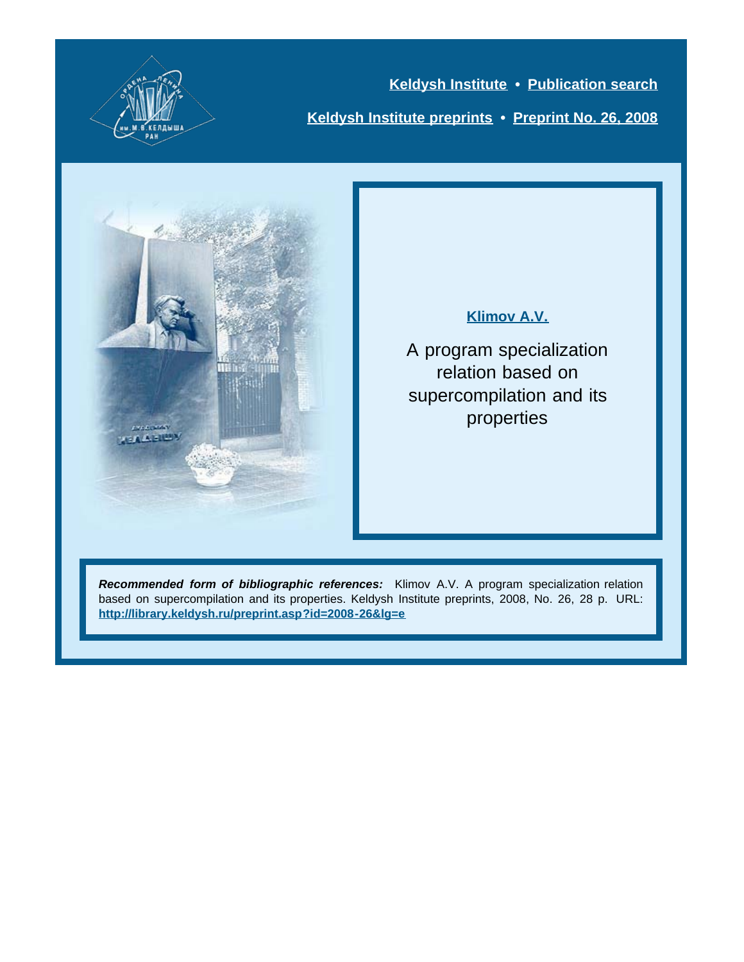

**[Keldysh Institute](http://keldysh.ru/index.en.shtml) • [Publication search](http://library.keldysh.ru/prep_qf.asp?lg=e) [Keldysh Institute preprints](http://library.keldysh.ru/preprints/default.asp?lg=e) • [Preprint No. 26, 2008](http://library.keldysh.ru/preprint.asp?id=2008-26&lg=e)**



### **[Klimov A.V.](http://library.keldysh.ru/author_page.asp?aid=1285&lg=e)**

A program specialization relation based on supercompilation and its properties

*Recommended form of bibliographic references:* Klimov A.V. A program specialization relation based on supercompilation and its properties. Keldysh Institute preprints, 2008, No. 26, 28 p. URL: **<http://library.keldysh.ru/preprint.asp?id=2008-26&lg=e>**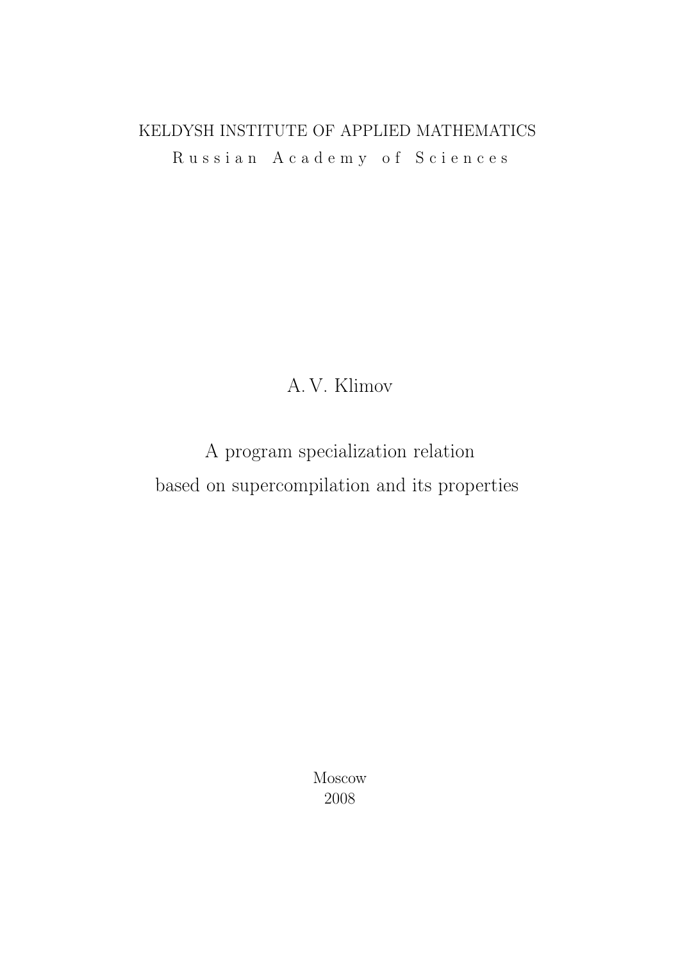## KELDYSH INSTITUTE OF APPLIED MATHEMATICS R u s s i a n A c a d e m y o f S c i e n c e s

## A. V. Klimov

# A program specialization relation based on supercompilation and its properties

Moscow 2008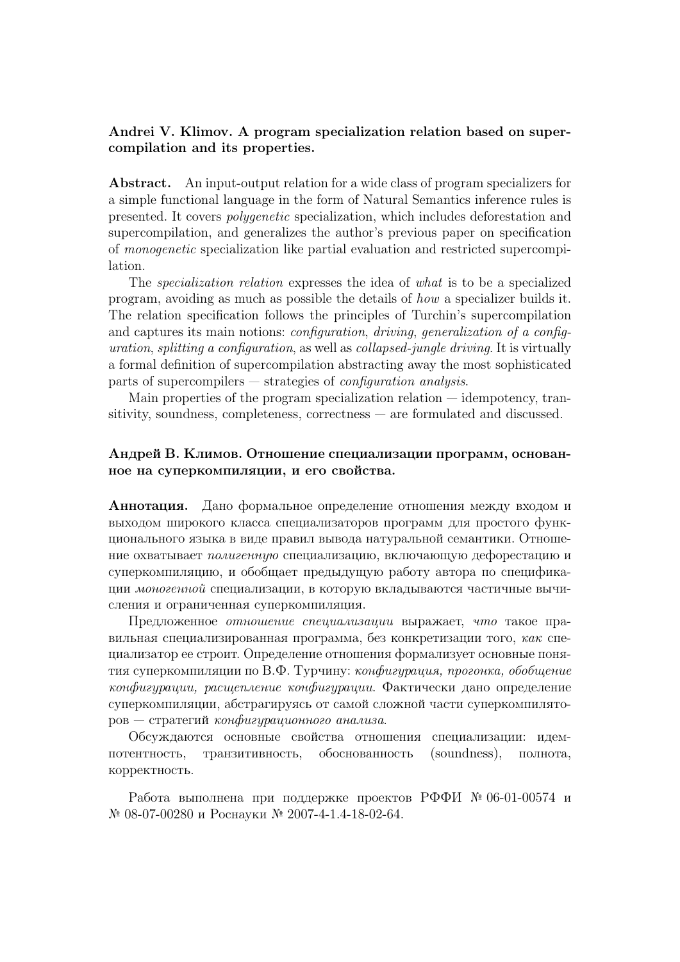#### Andrei V. Klimov. A program specialization relation based on supercompilation and its properties.

Abstract. An input-output relation for a wide class of program specializers for a simple functional language in the form of Natural Semantics inference rules is presented. It covers polygenetic specialization, which includes deforestation and supercompilation, and generalizes the author's previous paper on specification of monogenetic specialization like partial evaluation and restricted supercompilation.

The specialization relation expresses the idea of what is to be a specialized program, avoiding as much as possible the details of how a specializer builds it. The relation specification follows the principles of Turchin's supercompilation and captures its main notions: *configuration*, *driving, generalization of a config*uration, splitting a configuration, as well as collapsed-jungle driving. It is virtually a formal definition of supercompilation abstracting away the most sophisticated parts of supercompilers  $-$  strategies of *configuration analysis*.

Main properties of the program specialization relation — idempotency, transitivity, soundness, completeness, correctness — are formulated and discussed.

#### Андрей В. Климов. Отношение специализации программ, основанное на суперкомпиляции, и его свойства.

Аннотация. Дано формальное определение отношения между входом и выходом широкого класса специализаторов программ для простого функционального языка в виде правил вывода натуральной семантики. Отношение охватывает полигенную специализацию, включающую дефорестацию и суперкомпиляцию, и обобщает предыдущую работу автора по спецификации моногенной специализации, в которую вкладываются частичные вычисления и ограниченная суперкомпиляция.

Предложенное отношение специализации выражает, что такое правильная специализированная программа, без конкретизации того,  $\kappa a \kappa$  специализатор ее строит. Определение отношения формализует основные понятия суперкомпиляции по В.Ф. Турчину: конфигурация, прогонка, обобщение конфигурации, расщепление конфигурации. Фактически дано определение суперкомпиляции, абстрагируясь от самой сложной части суперкомпилято $pos$  – стратегий конфигурационного анализа.

Обсуждаются основные свойства отношения специализации: идемпотентность, транзитивность, обоснованность (soundness), полнота, корректность.

Работа выполнена при поддержке проектов РФФИ № 06-01-00574 и № 08-07-00280 и Роснауки № 2007-4-1.4-18-02-64.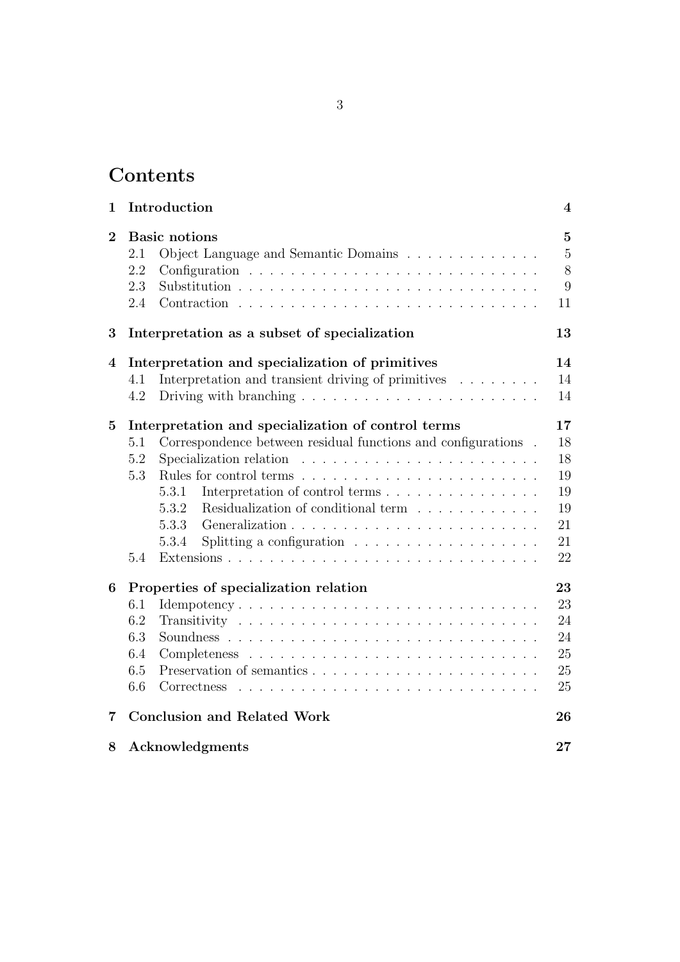## Contents

| $\mathbf 1$    | Introduction                                                                                                                                                                                                                                                                                                                                    |                                                               |  |  |
|----------------|-------------------------------------------------------------------------------------------------------------------------------------------------------------------------------------------------------------------------------------------------------------------------------------------------------------------------------------------------|---------------------------------------------------------------|--|--|
| $\overline{2}$ | <b>Basic</b> notions<br>2.1<br>Object Language and Semantic Domains<br>2.2<br>2.3<br>2.4                                                                                                                                                                                                                                                        | $\overline{5}$<br>$\overline{5}$<br>8<br>$\overline{9}$<br>11 |  |  |
| 3              | Interpretation as a subset of specialization                                                                                                                                                                                                                                                                                                    |                                                               |  |  |
| 4              | Interpretation and specialization of primitives<br>Interpretation and transient driving of primitives<br>4.1<br>Driving with branching $\ldots \ldots \ldots \ldots \ldots \ldots \ldots \ldots$<br>4.2                                                                                                                                         | 14<br>14<br>14                                                |  |  |
| $\bf{5}$       | Interpretation and specialization of control terms<br>Correspondence between residual functions and configurations.<br>5.1<br>Specialization relation<br>5.2<br>5.3<br>5.3.1<br>5.3.2<br>Residualization of conditional term<br>5.3.3<br>Splitting a configuration $\ldots \ldots \ldots \ldots \ldots \ldots$<br>5.3.4<br>5.4                  | 17<br>18<br>18<br>19<br>19<br>19<br>21<br>21<br>22            |  |  |
| 6              | Properties of specialization relation<br>6.1<br>Idempotency<br>6.2<br>6.3<br>6.4<br>6.5<br>6.6<br>Correctness<br>and a complete the complete state of the complete state of the complete state of the complete state of the complete state of the complete state of the complete state of the complete state of the complete state of the compl | 23<br>23<br>24<br>24<br>25<br>25<br>25                        |  |  |
| 7              | <b>Conclusion and Related Work</b>                                                                                                                                                                                                                                                                                                              | 26                                                            |  |  |
| 8              | Acknowledgments                                                                                                                                                                                                                                                                                                                                 | 27                                                            |  |  |
|                |                                                                                                                                                                                                                                                                                                                                                 |                                                               |  |  |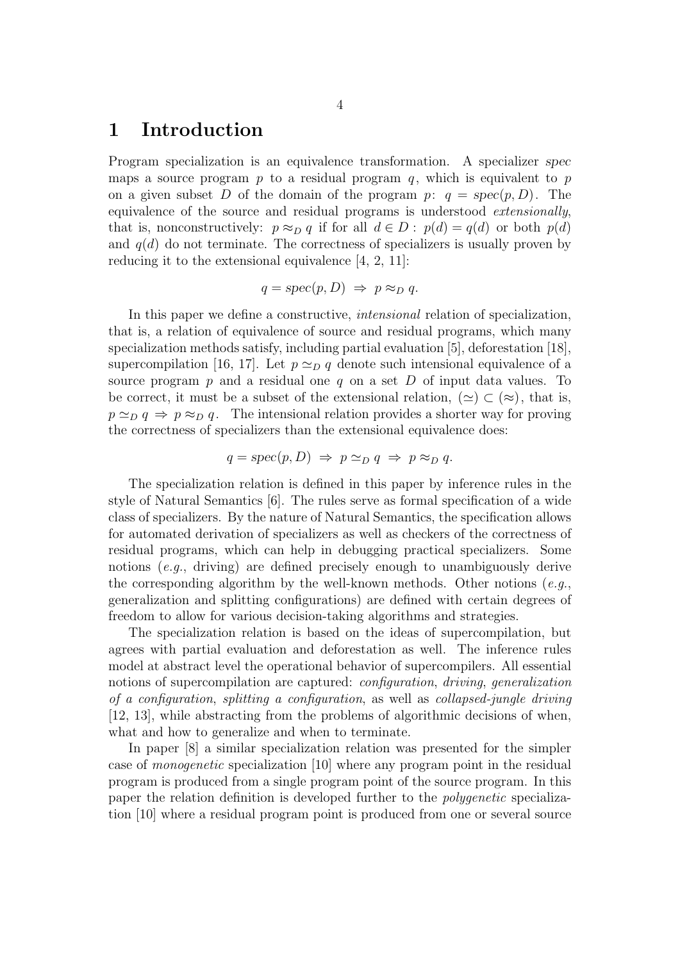## 1 Introduction

Program specialization is an equivalence transformation. A specializer spec maps a source program  $p$  to a residual program  $q$ , which is equivalent to  $p$ on a given subset D of the domain of the program  $p: q = spec(p, D)$ . The equivalence of the source and residual programs is understood *extensionally*, that is, nonconstructively:  $p \approx_D q$  if for all  $d \in D$ :  $p(d) = q(d)$  or both  $p(d)$ and  $q(d)$  do not terminate. The correctness of specializers is usually proven by reducing it to the extensional equivalence [4, 2, 11]:

$$
q = \operatorname{spec}(p, D) \Rightarrow p \approx_D q.
$$

In this paper we define a constructive, intensional relation of specialization, that is, a relation of equivalence of source and residual programs, which many specialization methods satisfy, including partial evaluation [5], deforestation [18], supercompilation [16, 17]. Let  $p \simeq_{\mathcal{D}} q$  denote such intensional equivalence of a source program p and a residual one q on a set D of input data values. To be correct, it must be a subset of the extensional relation,  $(\simeq) \subset (\approx)$ , that is,  $p \simeq_{D} q \Rightarrow p \approx_{D} q$ . The intensional relation provides a shorter way for proving the correctness of specializers than the extensional equivalence does:

$$
q = \operatorname{spec}(p, D) \Rightarrow p \simeq_D q \Rightarrow p \approx_D q.
$$

The specialization relation is defined in this paper by inference rules in the style of Natural Semantics [6]. The rules serve as formal specification of a wide class of specializers. By the nature of Natural Semantics, the specification allows for automated derivation of specializers as well as checkers of the correctness of residual programs, which can help in debugging practical specializers. Some notions (e.g., driving) are defined precisely enough to unambiguously derive the corresponding algorithm by the well-known methods. Other notions  $(e.g.,)$ generalization and splitting configurations) are defined with certain degrees of freedom to allow for various decision-taking algorithms and strategies.

The specialization relation is based on the ideas of supercompilation, but agrees with partial evaluation and deforestation as well. The inference rules model at abstract level the operational behavior of supercompilers. All essential notions of supercompilation are captured: *configuration*, *driving*, *generalization* of a configuration, splitting a configuration, as well as collapsed-jungle driving [12, 13], while abstracting from the problems of algorithmic decisions of when, what and how to generalize and when to terminate.

In paper [8] a similar specialization relation was presented for the simpler case of monogenetic specialization [10] where any program point in the residual program is produced from a single program point of the source program. In this paper the relation definition is developed further to the polygenetic specialization [10] where a residual program point is produced from one or several source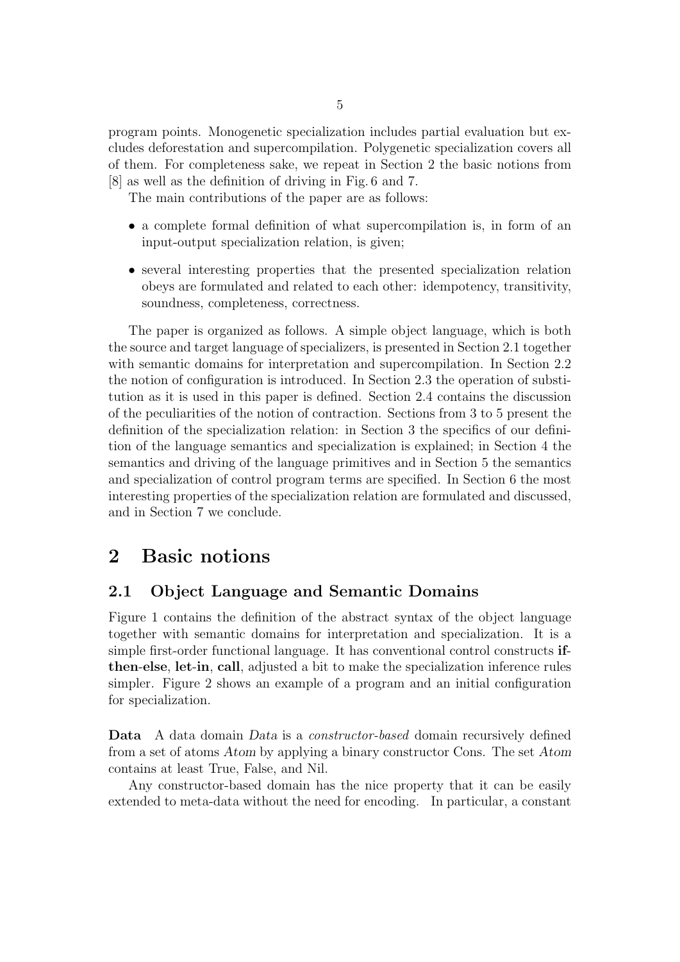program points. Monogenetic specialization includes partial evaluation but excludes deforestation and supercompilation. Polygenetic specialization covers all of them. For completeness sake, we repeat in Section 2 the basic notions from [8] as well as the definition of driving in Fig. 6 and 7.

The main contributions of the paper are as follows:

- a complete formal definition of what supercompilation is, in form of an input-output specialization relation, is given;
- several interesting properties that the presented specialization relation obeys are formulated and related to each other: idempotency, transitivity, soundness, completeness, correctness.

The paper is organized as follows. A simple object language, which is both the source and target language of specializers, is presented in Section 2.1 together with semantic domains for interpretation and supercompilation. In Section 2.2 the notion of configuration is introduced. In Section 2.3 the operation of substitution as it is used in this paper is defined. Section 2.4 contains the discussion of the peculiarities of the notion of contraction. Sections from 3 to 5 present the definition of the specialization relation: in Section 3 the specifics of our definition of the language semantics and specialization is explained; in Section 4 the semantics and driving of the language primitives and in Section 5 the semantics and specialization of control program terms are specified. In Section 6 the most interesting properties of the specialization relation are formulated and discussed, and in Section 7 we conclude.

## 2 Basic notions

## 2.1 Object Language and Semantic Domains

Figure 1 contains the definition of the abstract syntax of the object language together with semantic domains for interpretation and specialization. It is a simple first-order functional language. It has conventional control constructs ifthen-else, let-in, call, adjusted a bit to make the specialization inference rules simpler. Figure 2 shows an example of a program and an initial configuration for specialization.

Data A data domain *Data* is a *constructor-based* domain recursively defined from a set of atoms Atom by applying a binary constructor Cons. The set Atom contains at least True, False, and Nil.

Any constructor-based domain has the nice property that it can be easily extended to meta-data without the need for encoding. In particular, a constant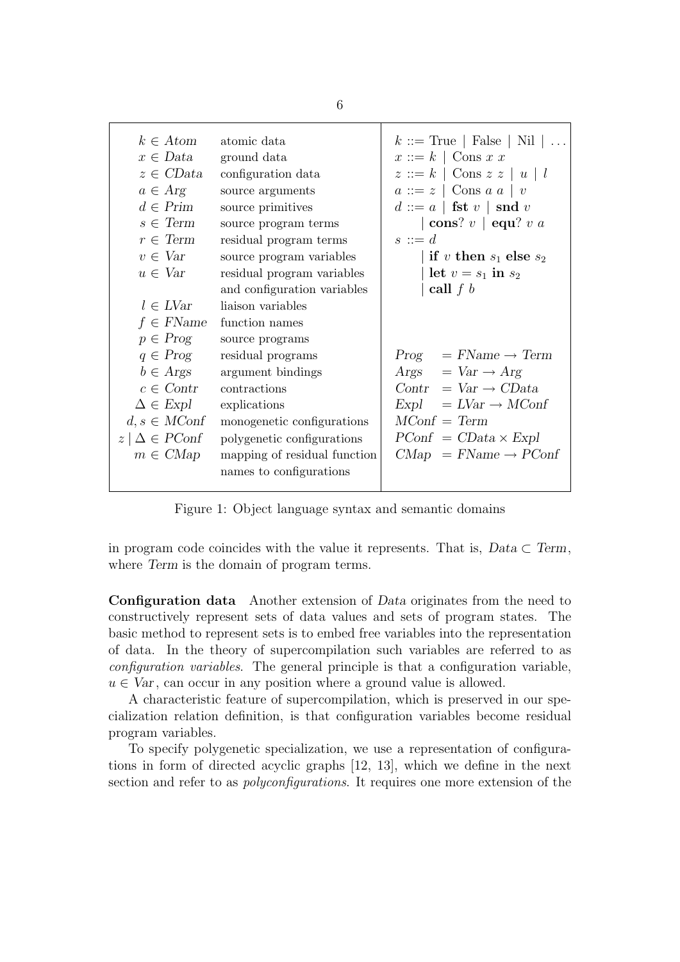| $k \in Atom$<br>$x \in Data$<br>$z \in CData$<br>$a \in Arg$<br>$d \in Prim$<br>$s \in Term$<br>$r \in \mathrm{Term}$<br>$v \in Var$<br>$u \in Var$<br>$l \in LVar$<br>$f \in FName$<br>$p \in Prog$<br>$q \in Prog$<br>$b \in \text{Args}$<br>$c \in$ Contr<br>$\Delta \in Expl$ | atomic data<br>ground data<br>configuration data<br>source arguments<br>source primitives<br>source program terms<br>residual program terms<br>source program variables<br>residual program variables<br>and configuration variables<br>liaison variables<br>function names<br>source programs<br>residual programs<br>argument bindings<br>contractions<br>explications | $k ::= True \mid False \mid Nil \mid $<br>$x ::= k \mid \text{Cons } x \ x$<br>$z ::= k \mid \text{Cons } z z \mid u \mid l$<br>$a ::= z \mid \text{Cons } a \mid v$<br>$d ::= a \mid \mathbf{fst} \ v \mid \mathbf{snd} \ v$<br>$\vert$ cons? $v \vert$ equ? $v a$<br>$s ::= d$<br>  if v then $s_1$ else $s_2$<br>let $v = s_1$ in $s_2$<br>call $f b$<br>$Prog = FName \rightarrow Term$<br>$\text{Args}$ = $\text{Var} \rightarrow \text{Arg}$<br>$Contr = Var \rightarrow CData$<br>$Expl = LVar \rightarrow MConf$ |
|-----------------------------------------------------------------------------------------------------------------------------------------------------------------------------------------------------------------------------------------------------------------------------------|--------------------------------------------------------------------------------------------------------------------------------------------------------------------------------------------------------------------------------------------------------------------------------------------------------------------------------------------------------------------------|--------------------------------------------------------------------------------------------------------------------------------------------------------------------------------------------------------------------------------------------------------------------------------------------------------------------------------------------------------------------------------------------------------------------------------------------------------------------------------------------------------------------------|
|                                                                                                                                                                                                                                                                                   |                                                                                                                                                                                                                                                                                                                                                                          |                                                                                                                                                                                                                                                                                                                                                                                                                                                                                                                          |
|                                                                                                                                                                                                                                                                                   |                                                                                                                                                                                                                                                                                                                                                                          |                                                                                                                                                                                                                                                                                                                                                                                                                                                                                                                          |
|                                                                                                                                                                                                                                                                                   |                                                                                                                                                                                                                                                                                                                                                                          |                                                                                                                                                                                                                                                                                                                                                                                                                                                                                                                          |
|                                                                                                                                                                                                                                                                                   |                                                                                                                                                                                                                                                                                                                                                                          |                                                                                                                                                                                                                                                                                                                                                                                                                                                                                                                          |
| $d, s \in MConf$                                                                                                                                                                                                                                                                  | monogenetic configurations                                                                                                                                                                                                                                                                                                                                               | $MConf = Term$                                                                                                                                                                                                                                                                                                                                                                                                                                                                                                           |
| $z \mid \Delta \in PConf$                                                                                                                                                                                                                                                         | polygenetic configurations                                                                                                                                                                                                                                                                                                                                               | $PConf = CData \times Expl$                                                                                                                                                                                                                                                                                                                                                                                                                                                                                              |
| $m \in CMap$                                                                                                                                                                                                                                                                      | mapping of residual function<br>names to configurations                                                                                                                                                                                                                                                                                                                  | $CMap = FName \rightarrow PConf$                                                                                                                                                                                                                                                                                                                                                                                                                                                                                         |

Figure 1: Object language syntax and semantic domains

in program code coincides with the value it represents. That is,  $Data \subset Term$ , where Term is the domain of program terms.

Configuration data Another extension of Data originates from the need to constructively represent sets of data values and sets of program states. The basic method to represent sets is to embed free variables into the representation of data. In the theory of supercompilation such variables are referred to as configuration variables. The general principle is that a configuration variable,  $u \in Var$ , can occur in any position where a ground value is allowed.

A characteristic feature of supercompilation, which is preserved in our specialization relation definition, is that configuration variables become residual program variables.

To specify polygenetic specialization, we use a representation of configurations in form of directed acyclic graphs [12, 13], which we define in the next section and refer to as *polyconfigurations*. It requires one more extension of the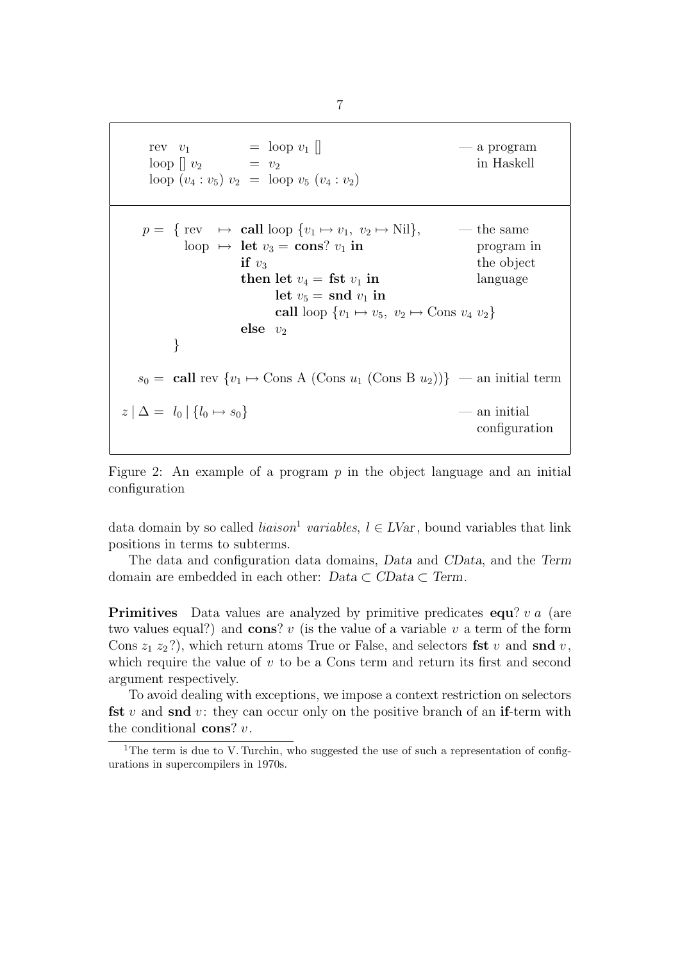$$
\begin{array}{rcl}\n\text{rev} & v_1 & = \text{loop } v_1 \parallel & -\text{a program} \\
\text{loop } [] & v_2 & = v_2 \\
\text{loop } (v_4 : v_5) & v_2 & = \text{loop } v_5 \ (v_4 : v_2) \\
\end{array}
$$
\n
$$
p = \{ \text{rev} \mapsto \text{call loop } \{v_1 \mapsto v_1, v_2 \mapsto \text{Nil} \}, \quad -\text{the same} \\
\text{loop } \mapsto \text{let } v_3 = \text{cons? } v_1 \text{ in} \\
\text{if } v_3 \text{ then let } v_4 = \text{fst } v_1 \text{ in} \\
\text{let } v_5 = \text{snd } v_1 \text{ in} \\
\text{call loop } \{v_1 \mapsto v_5, v_2 \mapsto \text{Cons } v_4 \ v_2 \}
$$
\n
$$
\text{else } v_2 \text{}
$$
\n
$$
\} \\
s_0 = \text{call rev } \{v_1 \mapsto \text{Cons } \text{A } (\text{Cons } u_1 \ (\text{Cons } B \ u_2)) \} \ -\text{an initial term} \\
z \mid \Delta = l_0 \mid \{l_0 \mapsto s_0\} \qquad -\text{an initial} \\
\text{configuration}
$$

Figure 2: An example of a program  $p$  in the object language and an initial configuration

data domain by so called *liaison*<sup>1</sup> variables,  $l \in LVar$ , bound variables that link positions in terms to subterms.

The data and configuration data domains, Data and CData, and the Term domain are embedded in each other:  $Data \subset CData \subset Term$ .

**Primitives** Data values are analyzed by primitive predicates  $equ$ ?  $v a$  (are two values equal?) and cons? v (is the value of a variable v a term of the form Cons  $z_1$   $z_2$ ?), which return atoms True or False, and selectors fst v and snd v, which require the value of  $v$  to be a Cons term and return its first and second argument respectively.

To avoid dealing with exceptions, we impose a context restriction on selectors **fst** v and snd v: they can occur only on the positive branch of an **if-term** with the conditional  $\cos^2 v$ .

7

<sup>&</sup>lt;sup>1</sup>The term is due to V. Turchin, who suggested the use of such a representation of configurations in supercompilers in 1970s.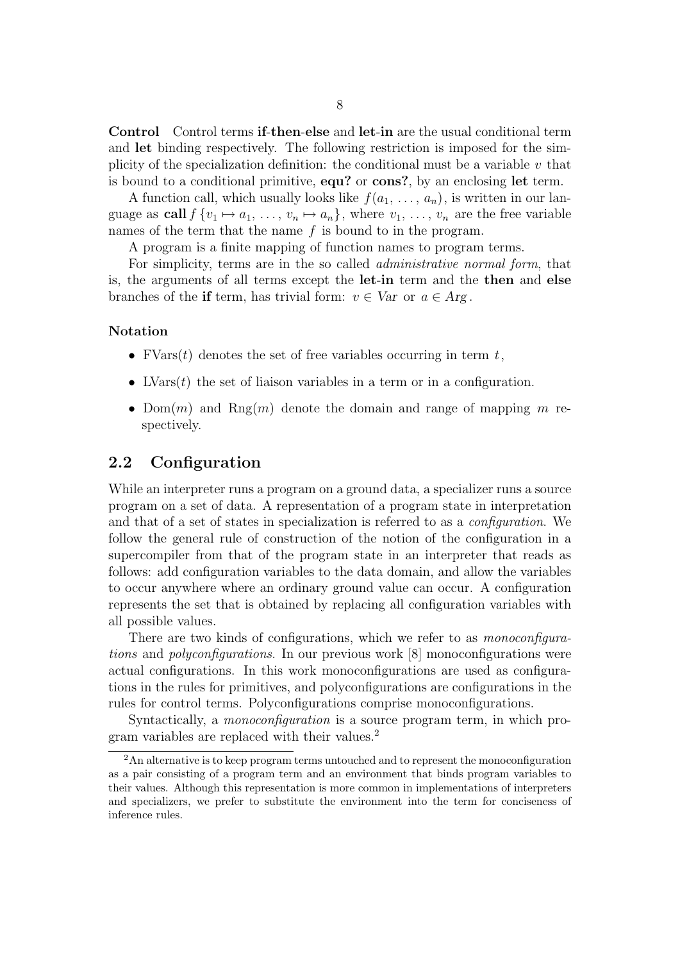Control Control terms if-then-else and let-in are the usual conditional term and let binding respectively. The following restriction is imposed for the simplicity of the specialization definition: the conditional must be a variable  $v$  that is bound to a conditional primitive,  $equ?$  or  $cons?$ , by an enclosing let term.

A function call, which usually looks like  $f(a_1, \ldots, a_n)$ , is written in our language as call  $f \{v_1 \mapsto a_1, \ldots, v_n \mapsto a_n\}$ , where  $v_1, \ldots, v_n$  are the free variable names of the term that the name  $f$  is bound to in the program.

A program is a finite mapping of function names to program terms.

For simplicity, terms are in the so called administrative normal form, that is, the arguments of all terms except the let-in term and the then and else branches of the if term, has trivial form:  $v \in Var$  or  $a \in Arg$ .

#### Notation

- FVars $(t)$  denotes the set of free variables occurring in term t,
- LVars $(t)$  the set of liaison variables in a term or in a configuration.
- Dom $(m)$  and Rng $(m)$  denote the domain and range of mapping m respectively.

#### 2.2 Configuration

While an interpreter runs a program on a ground data, a specializer runs a source program on a set of data. A representation of a program state in interpretation and that of a set of states in specialization is referred to as a configuration. We follow the general rule of construction of the notion of the configuration in a supercompiler from that of the program state in an interpreter that reads as follows: add configuration variables to the data domain, and allow the variables to occur anywhere where an ordinary ground value can occur. A configuration represents the set that is obtained by replacing all configuration variables with all possible values.

There are two kinds of configurations, which we refer to as *monoconfigura*tions and polyconfigurations. In our previous work [8] monoconfigurations were actual configurations. In this work monoconfigurations are used as configurations in the rules for primitives, and polyconfigurations are configurations in the rules for control terms. Polyconfigurations comprise monoconfigurations.

Syntactically, a *monoconfiguration* is a source program term, in which program variables are replaced with their values.<sup>2</sup>

<sup>&</sup>lt;sup>2</sup>An alternative is to keep program terms untouched and to represent the monoconfiguration as a pair consisting of a program term and an environment that binds program variables to their values. Although this representation is more common in implementations of interpreters and specializers, we prefer to substitute the environment into the term for conciseness of inference rules.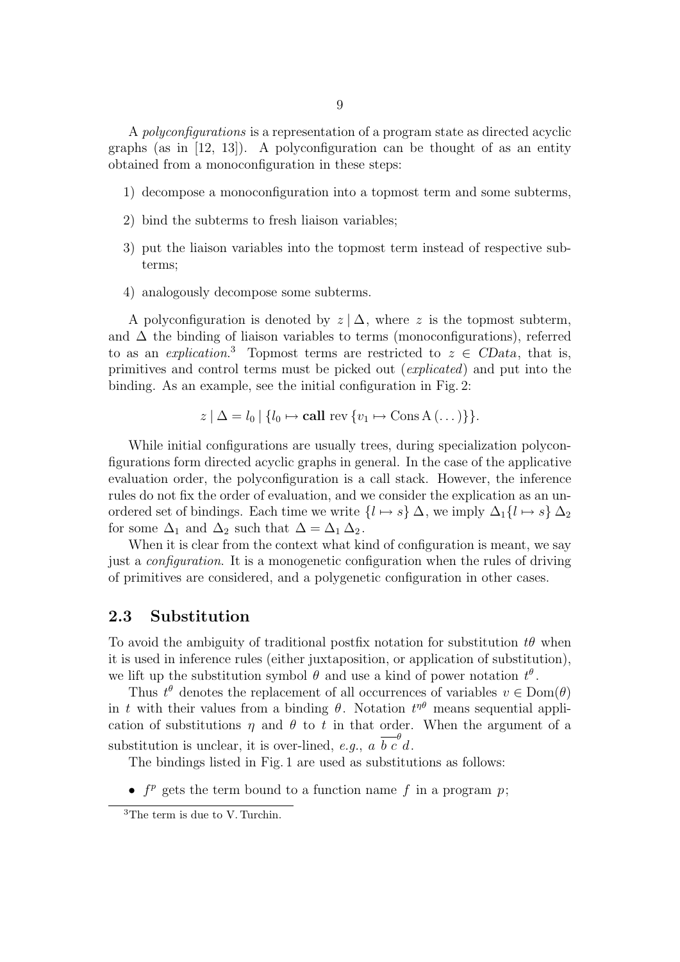A polyconfigurations is a representation of a program state as directed acyclic graphs (as in  $[12, 13]$ ). A polyconfiguration can be thought of as an entity obtained from a monoconfiguration in these steps:

- 1) decompose a monoconfiguration into a topmost term and some subterms,
- 2) bind the subterms to fresh liaison variables;
- 3) put the liaison variables into the topmost term instead of respective subterms;
- 4) analogously decompose some subterms.

A polyconfiguration is denoted by  $z | \Delta$ , where z is the topmost subterm, and  $\Delta$  the binding of liaison variables to terms (monoconfigurations), referred to as an *explication*.<sup>3</sup> Topmost terms are restricted to  $z \in CData$ , that is, primitives and control terms must be picked out (explicated) and put into the binding. As an example, see the initial configuration in Fig. 2:

$$
z \mid \Delta = l_0 \mid \{l_0 \mapsto \text{call rev } \{v_1 \mapsto \text{Cons } A \}.
$$

While initial configurations are usually trees, during specialization polyconfigurations form directed acyclic graphs in general. In the case of the applicative evaluation order, the polyconfiguration is a call stack. However, the inference rules do not fix the order of evaluation, and we consider the explication as an unordered set of bindings. Each time we write  $\{l \mapsto s\} \Delta$ , we imply  $\Delta_1\{l \mapsto s\} \Delta_2$ for some  $\Delta_1$  and  $\Delta_2$  such that  $\Delta = \Delta_1 \Delta_2$ .

When it is clear from the context what kind of configuration is meant, we say just a configuration. It is a monogenetic configuration when the rules of driving of primitives are considered, and a polygenetic configuration in other cases.

#### 2.3 Substitution

To avoid the ambiguity of traditional postfix notation for substitution  $t\theta$  when it is used in inference rules (either juxtaposition, or application of substitution), we lift up the substitution symbol  $\theta$  and use a kind of power notation  $t^{\theta}$ .

Thus  $t^{\theta}$  denotes the replacement of all occurrences of variables  $v \in \text{Dom}(\theta)$ in t with their values from a binding  $\theta$ . Notation  $t^{\eta\theta}$  means sequential application of substitutions  $\eta$  and  $\theta$  to t in that order. When the argument of a substitution is unclear, it is over-lined, e.g., a  $\overline{b} \overline{c}^{\theta}$ d.

The bindings listed in Fig. 1 are used as substitutions as follows:

•  $f<sup>p</sup>$  gets the term bound to a function name f in a program p;

<sup>3</sup>The term is due to V. Turchin.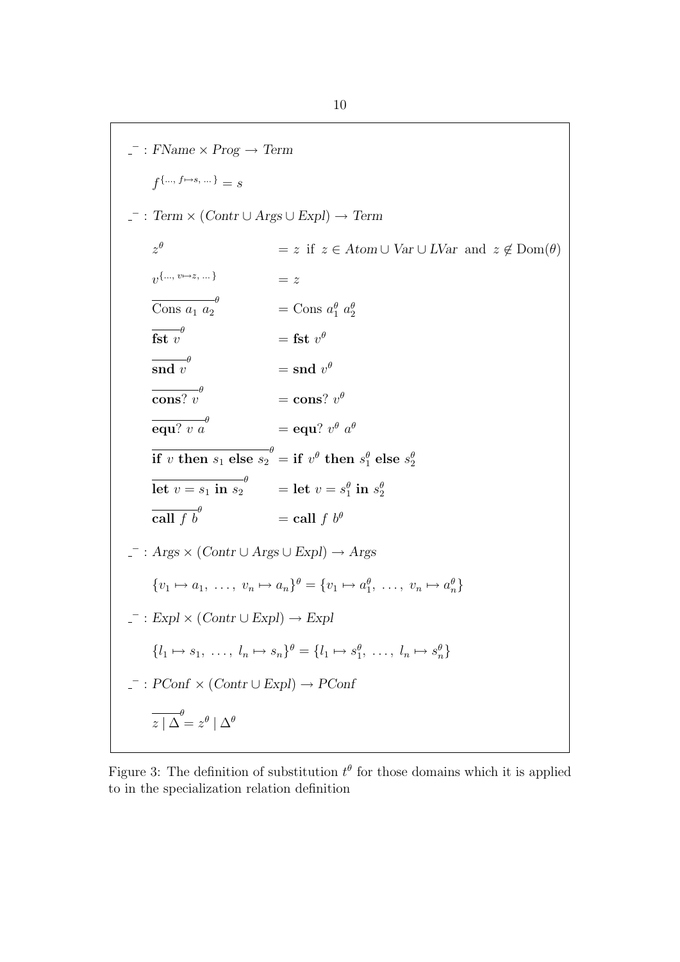$\overline{\phantom{a}}$  : FName  $\times$  Prog  $\rightarrow$  Term  $f^{\{..., f \mapsto s, ...\}} = s$  $\bot$ : Term  $\times$  (Contr  $\cup$  Args  $\cup$  Expl)  $\rightarrow$  Term  $z^{\theta}$  $z \neq z$  if  $z \in Atom \cup Var \cup LVar$  and  $z \notin Dom(\theta)$  $v^{\{..., v \mapsto z,...\}}$  = z  $\overline{\text{Cons }a_1 a_2}^{\theta}$  $=$  Cons  $a_1^{\theta}$   $a_2^{\theta}$  $\overline{\mathbf{fst}\ v}^{\theta}$  $=$  fst  $v^{\theta}$  $\overline{\text{snd}\ v}^\theta$  $=$  snd  $v^{\theta}$  $\overline{\text{cons? } v}^{\theta}$  $=$  cons?  $v^{\theta}$  $\overline{\mathbf{equ?}\ v\ a}^{\theta}$  $=$  equ?  $v^{\theta}$   $a^{\theta}$  $\overline{\textbf{if}~v~\textbf{then}~s_1~\textbf{else}~s_2}^{\theta}} = \textbf{if}~v^{\theta}~\textbf{then}~s_1^{\theta}~\textbf{else}~s_2^{\theta}$  $\overline{\text{let } v = s_1 \text{ in } s_2}^{\theta}$  = let  $v = s_1^{\theta} \text{ in } s_2^{\theta}$  $\overline{\text{call } f b}^{\theta}$  $=$  call f  $b^{\theta}$  $\overline{\phantom{a}}$  : Args  $\times$  (Contr  $\cup$  Args  $\cup$  Expl)  $\rightarrow$  Args  $\{v_1 \mapsto a_1, \ldots, v_n \mapsto a_n\}^\theta = \{v_1 \mapsto a_1^\theta, \ldots, v_n \mapsto a_n^\theta\}$  $-$  : Expl  $\times$  (Contr  $\cup$  Expl)  $\rightarrow$  Expl  $\{l_1 \mapsto s_1, \ldots, l_n \mapsto s_n\}^\theta = \{l_1 \mapsto s_1^\theta, \ldots, l_n \mapsto s_n^\theta\}$  $\overline{\phantom{a}}$ : PConf  $\times$  (Contr  $\cup$  Expl)  $\rightarrow$  PConf  $\overline{z \mid \Delta}^{\theta} = z^{\theta} \mid \Delta^{\theta}$ 

Figure 3: The definition of substitution  $t^{\theta}$  for those domains which it is applied to in the specialization relation definition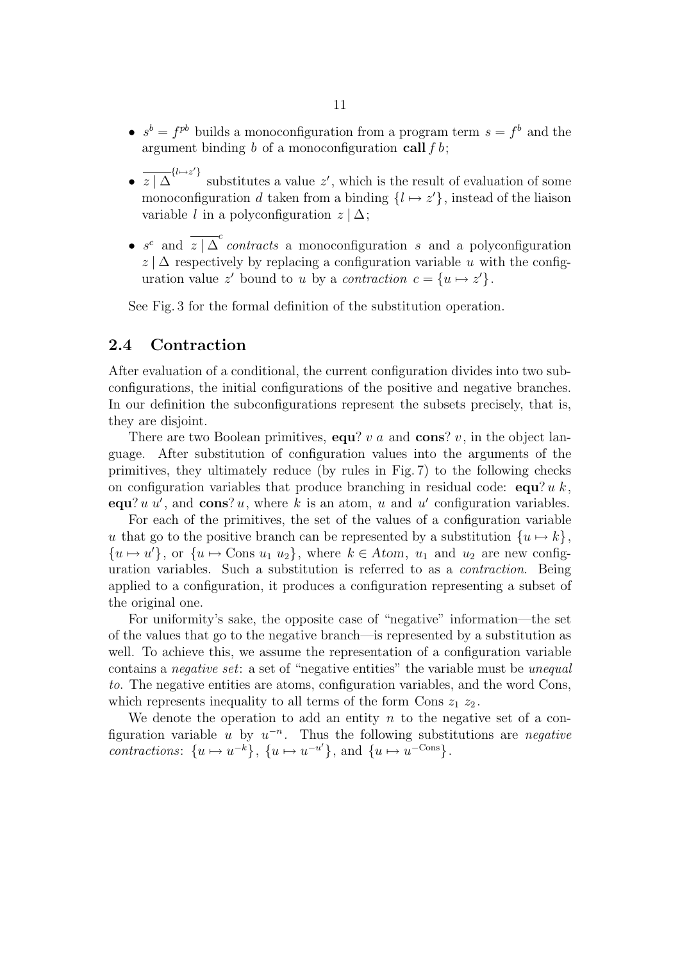- $s^b = f^{pb}$  builds a monoconfiguration from a program term  $s = f^b$  and the argument binding  $b$  of a monoconfiguration call  $f b$ ;
- $\overline{z}$   $\overline{z}$   $\overline{\Delta}^{\{l\mapsto z'\}}$  substitutes a value  $z'$ , which is the result of evaluation of some monoconfiguration d taken from a binding  $\{l \mapsto z'\}$ , instead of the liaison variable l in a polyconfiguration  $z | \Delta$ ;
- $s^c$  and  $\overline{z \mid \Delta}^c$  contracts a monoconfiguration s and a polyconfiguration  $z | \Delta$  respectively by replacing a configuration variable u with the configuration value z' bound to u by a contraction  $c = \{u \mapsto z'\}.$

See Fig. 3 for the formal definition of the substitution operation.

### 2.4 Contraction

After evaluation of a conditional, the current configuration divides into two subconfigurations, the initial configurations of the positive and negative branches. In our definition the subconfigurations represent the subsets precisely, that is, they are disjoint.

There are two Boolean primitives, equ? v a and cons? v, in the object language. After substitution of configuration values into the arguments of the primitives, they ultimately reduce (by rules in Fig. 7) to the following checks on configuration variables that produce branching in residual code:  $\text{equ? } u k$ , equ?  $u u'$ , and cons? u, where k is an atom, u and u' configuration variables.

For each of the primitives, the set of the values of a configuration variable u that go to the positive branch can be represented by a substitution  $\{u \mapsto k\},\$  $\{u \mapsto u'\}$ , or  $\{u \mapsto \text{Cons } u_1 u_2\}$ , where  $k \in Atom$ ,  $u_1$  and  $u_2$  are new configuration variables. Such a substitution is referred to as a contraction. Being applied to a configuration, it produces a configuration representing a subset of the original one.

For uniformity's sake, the opposite case of "negative" information—the set of the values that go to the negative branch—is represented by a substitution as well. To achieve this, we assume the representation of a configuration variable contains a *negative set*: a set of "negative entities" the variable must be *unequal* to. The negative entities are atoms, configuration variables, and the word Cons, which represents inequality to all terms of the form Cons  $z_1 z_2$ .

We denote the operation to add an entity  $n$  to the negative set of a configuration variable u by  $u^{-n}$ . Thus the following substitutions are *negative* contractions:  $\{u \mapsto u^{-k}\}, \{u \mapsto u^{-u'}\}, \text{and } \{u \mapsto u^{-\text{Cons}}\}.$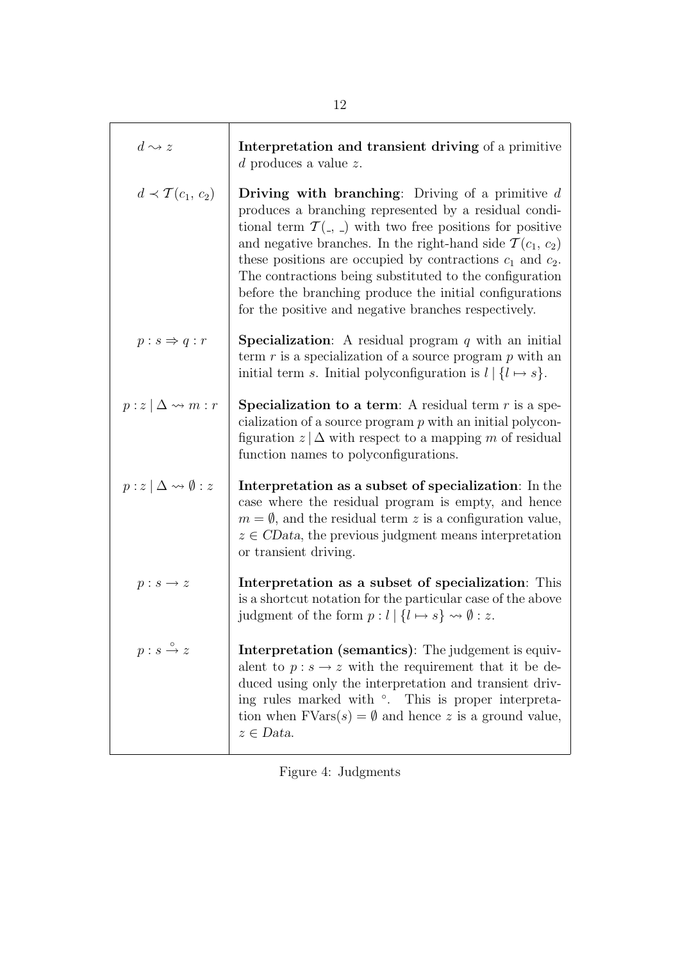| $d \rightsquigarrow z$                  | Interpretation and transient driving of a primitive<br>$d$ produces a value $z$ .                                                                                                                                                                                                                                                                                                                                                                                                                                           |
|-----------------------------------------|-----------------------------------------------------------------------------------------------------------------------------------------------------------------------------------------------------------------------------------------------------------------------------------------------------------------------------------------------------------------------------------------------------------------------------------------------------------------------------------------------------------------------------|
| $d \prec \mathcal{T}(c_1, c_2)$         | <b>Driving with branching:</b> Driving of a primitive $d$<br>produces a branching represented by a residual condi-<br>tional term $\mathcal{T}(\cdot, \cdot)$ with two free positions for positive<br>and negative branches. In the right-hand side $\mathcal{T}(c_1, c_2)$<br>these positions are occupied by contractions $c_1$ and $c_2$ .<br>The contractions being substituted to the configuration<br>before the branching produce the initial configurations<br>for the positive and negative branches respectively. |
| $p : s \Rightarrow q : r$               | <b>Specialization:</b> A residual program $q$ with an initial<br>term $r$ is a specialization of a source program $p$ with an<br>initial term s. Initial polyconfiguration is $l   \{l \mapsto s\}.$                                                                                                                                                                                                                                                                                                                        |
| $p:z\mid\Delta \leadsto m:r$            | <b>Specialization to a term:</b> A residual term $r$ is a spe-<br>cialization of a source program $p$ with an initial polycon-<br>figuration $z   \Delta$ with respect to a mapping m of residual<br>function names to polyconfigurations.                                                                                                                                                                                                                                                                                  |
| $p:z\mid\Delta \leadsto \emptyset:z$    | Interpretation as a subset of specialization: In the<br>case where the residual program is empty, and hence<br>$m = \emptyset$ , and the residual term z is a configuration value,<br>$z \in CData$ , the previous judgment means interpretation<br>or transient driving.                                                                                                                                                                                                                                                   |
| $p: s \rightarrow z$                    | Interpretation as a subset of specialization: This<br>is a shortcut notation for the particular case of the above<br>judgment of the form $p: l \mid \{l \mapsto s\} \leadsto \emptyset : z$ .                                                                                                                                                                                                                                                                                                                              |
| $p : s \stackrel{\circ}{\rightarrow} z$ | Interpretation (semantics): The judgement is equiv-<br>alent to $p: s \to z$ with the requirement that it be de-<br>duced using only the interpretation and transient driv-<br>ing rules marked with °. This is proper interpreta-<br>tion when $FVars(s) = \emptyset$ and hence z is a ground value,<br>$z \in Data$ .                                                                                                                                                                                                     |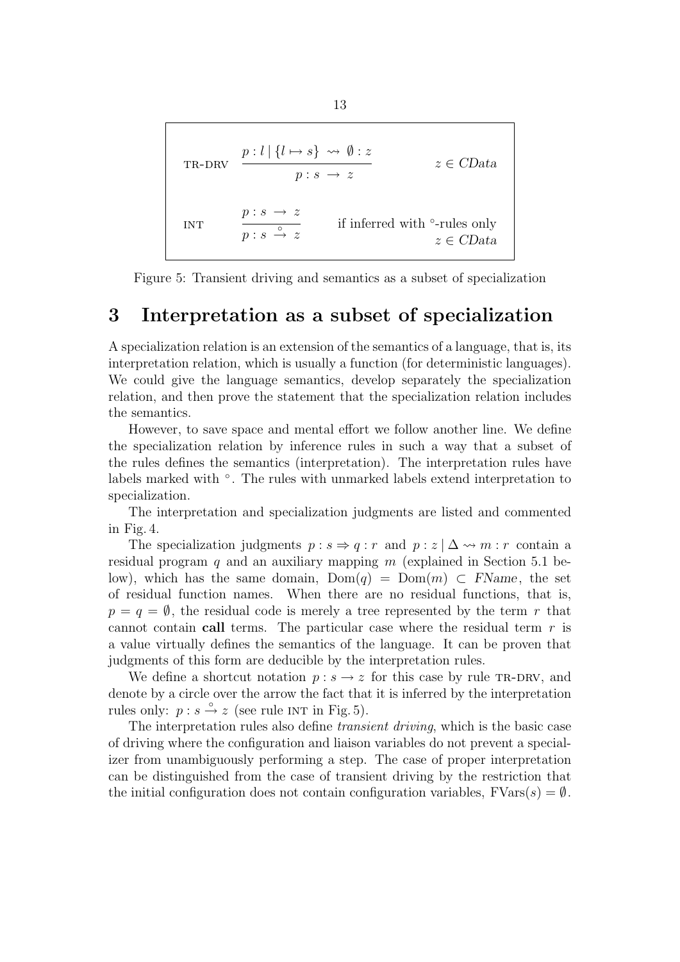TR-DRV 
$$
\frac{p: l | \{l \mapsto s\} \rightsquigarrow \emptyset : z}{p: s \rightarrow z}
$$
  $z \in CData$   
INT 
$$
\frac{p: s \rightarrow z}{p: s \stackrel{\circ}{\rightarrow} z}
$$
 if inferred with  $\circ$ -rules only  $z \in CData$ 

Figure 5: Transient driving and semantics as a subset of specialization

### 3 Interpretation as a subset of specialization

A specialization relation is an extension of the semantics of a language, that is, its interpretation relation, which is usually a function (for deterministic languages). We could give the language semantics, develop separately the specialization relation, and then prove the statement that the specialization relation includes the semantics.

However, to save space and mental effort we follow another line. We define the specialization relation by inference rules in such a way that a subset of the rules defines the semantics (interpretation). The interpretation rules have labels marked with  $\degree$ . The rules with unmarked labels extend interpretation to specialization.

The interpretation and specialization judgments are listed and commented in Fig. 4.

The specialization judgments  $p : s \Rightarrow q : r$  and  $p : z \upharpoonright \Delta \leadsto m : r$  contain a residual program q and an auxiliary mapping  $m$  (explained in Section 5.1 below), which has the same domain,  $Dom(q) = Dom(m) \subset FName$ , the set of residual function names. When there are no residual functions, that is,  $p = q = \emptyset$ , the residual code is merely a tree represented by the term r that cannot contain call terms. The particular case where the residual term  $r$  is a value virtually defines the semantics of the language. It can be proven that judgments of this form are deducible by the interpretation rules.

We define a shortcut notation  $p : s \to z$  for this case by rule TR-DRV, and denote by a circle over the arrow the fact that it is inferred by the interpretation rules only:  $p : s \stackrel{\circ}{\rightarrow} z$  (see rule INT in Fig. 5).

The interpretation rules also define *transient driving*, which is the basic case of driving where the configuration and liaison variables do not prevent a specializer from unambiguously performing a step. The case of proper interpretation can be distinguished from the case of transient driving by the restriction that the initial configuration does not contain configuration variables,  $FVars(s) = \emptyset$ .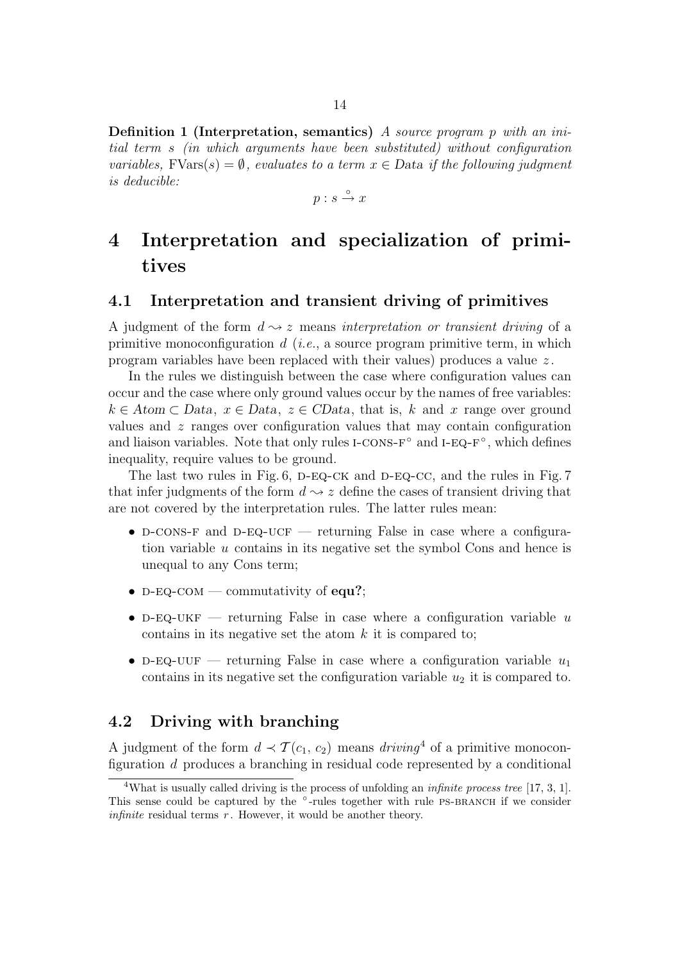**Definition 1 (Interpretation, semantics)** A source program p with an initial term s (in which arguments have been substituted) without configuration variables,  $FVars(s) = \emptyset$ , evaluates to a term  $x \in Data$  if the following judgment is deducible:

 $p : s \stackrel{\circ}{\rightarrow} x$ 

## 4 Interpretation and specialization of primitives

#### 4.1 Interpretation and transient driving of primitives

A judgment of the form  $d \rightarrow z$  means interpretation or transient driving of a primitive monoconfiguration  $d$  (*i.e.*, a source program primitive term, in which program variables have been replaced with their values) produces a value  $z$ .

In the rules we distinguish between the case where configuration values can occur and the case where only ground values occur by the names of free variables:  $k \in Atom \subset Data$ ,  $x \in Data$ ,  $z \in CData$ , that is, k and x range over ground values and  $z$  ranges over configuration values that may contain configuration and liaison variables. Note that only rules  $I\text{-}\mathrm{CONS-F}^\circ$  and  $I\text{-}\mathrm{EQ-F}^\circ$ , which defines inequality, require values to be ground.

The last two rules in Fig.  $6$ , D-EQ-CK and D-EQ-CC, and the rules in Fig. 7 that infer judgments of the form  $d \sim z$  define the cases of transient driving that are not covered by the interpretation rules. The latter rules mean:

- D-CONS-F and D-EQ-UCF returning False in case where a configuration variable u contains in its negative set the symbol Cons and hence is unequal to any Cons term;
- D-EQ-COM commutativity of equ?;
- D-EQ-UKF returning False in case where a configuration variable  $u$ contains in its negative set the atom  $k$  it is compared to;
- D-EQ-UUF returning False in case where a configuration variable  $u_1$ contains in its negative set the configuration variable  $u_2$  it is compared to.

#### 4.2 Driving with branching

A judgment of the form  $d \prec \mathcal{T}(c_1, c_2)$  means  $driving^4$  of a primitive monoconfiguration d produces a branching in residual code represented by a conditional

<sup>&</sup>lt;sup>4</sup>What is usually called driving is the process of unfolding an *infinite process tree* [17, 3, 1]. This sense could be captured by the °-rules together with rule PS-BRANCH if we consider *infinite* residual terms  $r$ . However, it would be another theory.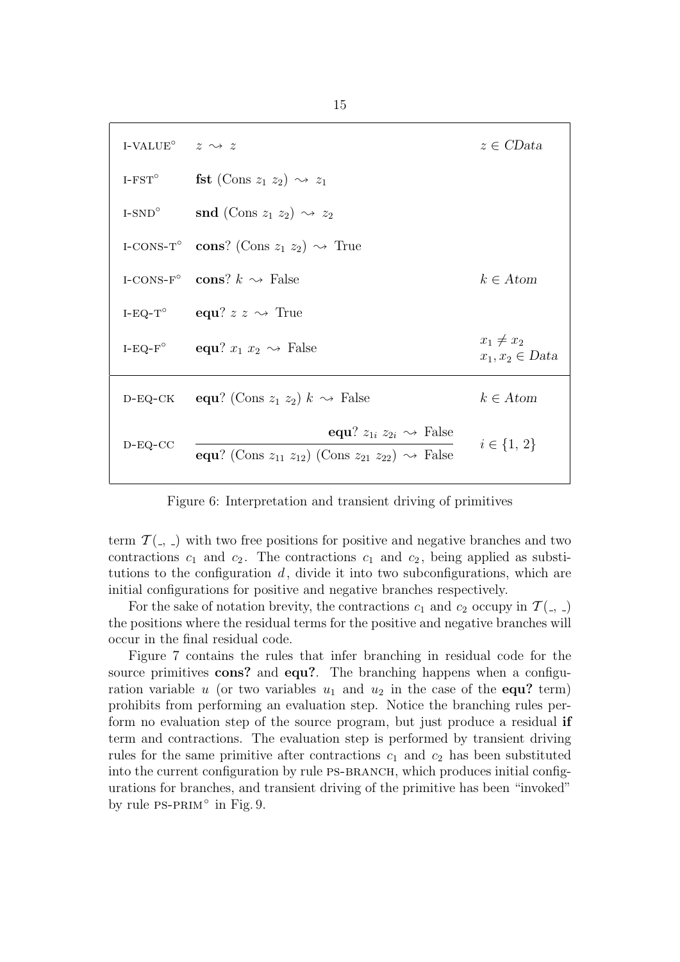| I-VALUE <sup>o</sup> $z \rightsquigarrow z$ |                                                                                                                                      | $z \in CData$                         |  |
|---------------------------------------------|--------------------------------------------------------------------------------------------------------------------------------------|---------------------------------------|--|
|                                             | I-FST <sup>o</sup> fst (Cons $z_1$ $z_2$ ) $\rightsquigarrow$ $z_1$                                                                  |                                       |  |
|                                             | I-SND <sup>o</sup> snd (Cons $z_1 z_2$ ) $\rightsquigarrow z_2$                                                                      |                                       |  |
|                                             | I-CONS-T <sup>o</sup> cons? (Cons $z_1 z_2$ ) $\rightsquigarrow$ True                                                                |                                       |  |
|                                             | I-CONS-F° cons? $k \rightsquigarrow$ False                                                                                           | $k \in Atom$                          |  |
|                                             | I-EQ-T <sup>o</sup> equ? $z \sim \text{True}$                                                                                        |                                       |  |
|                                             | I-EQ-F <sup>°</sup> equ? $x_1 x_2 \sim$ False                                                                                        | $x_1 \neq x_2$<br>$x_1, x_2 \in Data$ |  |
|                                             | D-EQ-CK equ? (Cons $z_1$ $z_2$ ) $k \sim$ False                                                                                      | $k \in Atom$                          |  |
| $D-EQ-CC$                                   | equ? $z_{1i}$ $z_{2i}$ $\rightsquigarrow$ False<br>equ? (Cons $z_{11}$ $z_{12}$ ) (Cons $z_{21}$ $z_{22}$ ) $\rightsquigarrow$ False | $i \in \{1, 2\}$                      |  |

Figure 6: Interpretation and transient driving of primitives

term  $\mathcal{T}(\cdot, \cdot)$  with two free positions for positive and negative branches and two contractions  $c_1$  and  $c_2$ . The contractions  $c_1$  and  $c_2$ , being applied as substitutions to the configuration  $d$ , divide it into two subconfigurations, which are initial configurations for positive and negative branches respectively.

For the sake of notation brevity, the contractions  $c_1$  and  $c_2$  occupy in  $\mathcal{T}(\_ \, )$ the positions where the residual terms for the positive and negative branches will occur in the final residual code.

Figure 7 contains the rules that infer branching in residual code for the source primitives cons? and equ?. The branching happens when a configuration variable u (or two variables  $u_1$  and  $u_2$  in the case of the **equ?** term) prohibits from performing an evaluation step. Notice the branching rules perform no evaluation step of the source program, but just produce a residual if term and contractions. The evaluation step is performed by transient driving rules for the same primitive after contractions  $c_1$  and  $c_2$  has been substituted into the current configuration by rule PS-BRANCH, which produces initial configurations for branches, and transient driving of the primitive has been "invoked" by rule PS-PRIM<sup>°</sup> in Fig. 9.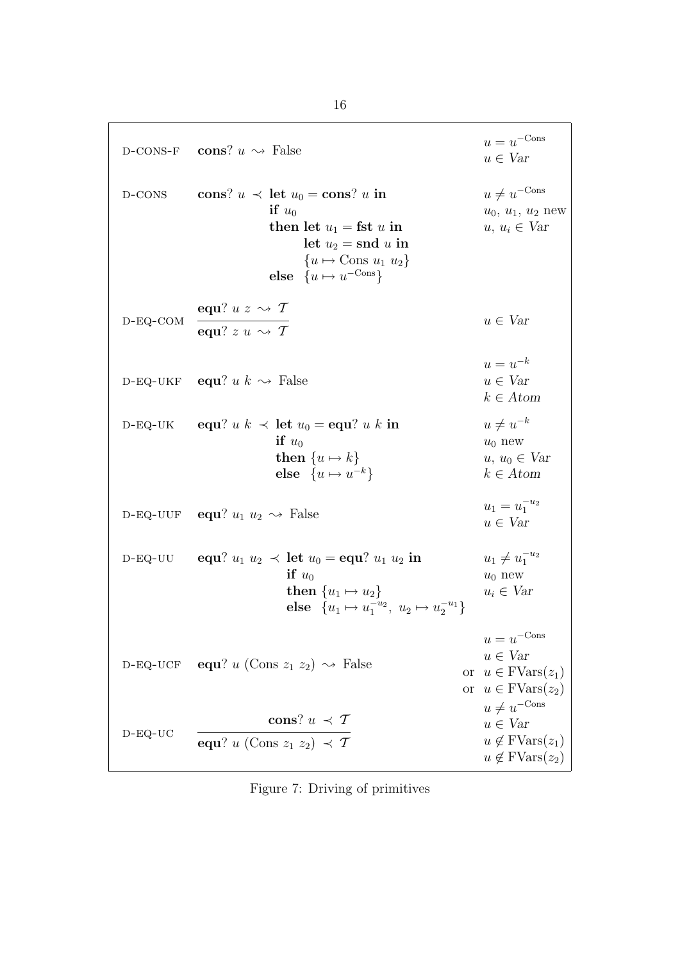D-CONS-F cons? 
$$
u \leftrightarrow
$$
 False  
\nD-CONS cons?  $u \leftrightarrow$  False  
\nif  $u_0$   
\nthen let  $u_1 =$ fst  $u$  in  
\nlet  $u_2 =$ snd  $u$  in  
\n $\{u \mapsto$  Cons  $u_1 u_2\}$   
\nelse  $\{u \mapsto u^{-\text{Cons}}\}$   
\nD-EQ-COM  
\nequ?  $u \leftrightarrow \tau$   
\n $u = u^{-k}$   
\n $u \leftrightarrow u$   
\n $u \in \text{Var}$   
\nD-EQ-UCK  
\nequ?  $u \leftrightarrow \tau$   
\n $u = u^{-k}$   
\n $u \in \text{Var}$   
\n $u \in \text{Var}$   
\n $u = u^{-k}$   
\n $u \in \text{Var}$   
\n $u = u^{-k}$   
\n $u \in \text{Var}$   
\n $u \in \text{Var}$   
\n $u = u^{-k}$   
\n $u \in \text{Var}$   
\n $u \in \text{Var}$   
\n $u \in \text{Var}$   
\n $u \in \text{Var}$   
\n $u \in \text{Var}$   
\n $u \in \text{Var}$   
\n $u \in \text{Var}$   
\n $u \in \text{Var}$   
\n $u \in \text{Var}$   
\n $u \in \text{Var}$   
\n $u \in \text{Var}$   
\n $u \in \text{Var}$   
\n $u \in \text{Var}$   
\n $u \in \text{Var}$   
\n $u \in \text{Var}$   
\n $u \in \text{Var}$   
\n $u \in \text{Var}$   
\n $u \in \text{Var}$   
\n $u \in \text{Var}$   
\n $u \in \text{Var}$   
\n $u \in \text{Var}$   
\n $u \in \text{Var}$   
\n $u \in \text{Var}$   
\n $u \in \text{Var}$   
\n $u \$ 

Figure 7: Driving of primitives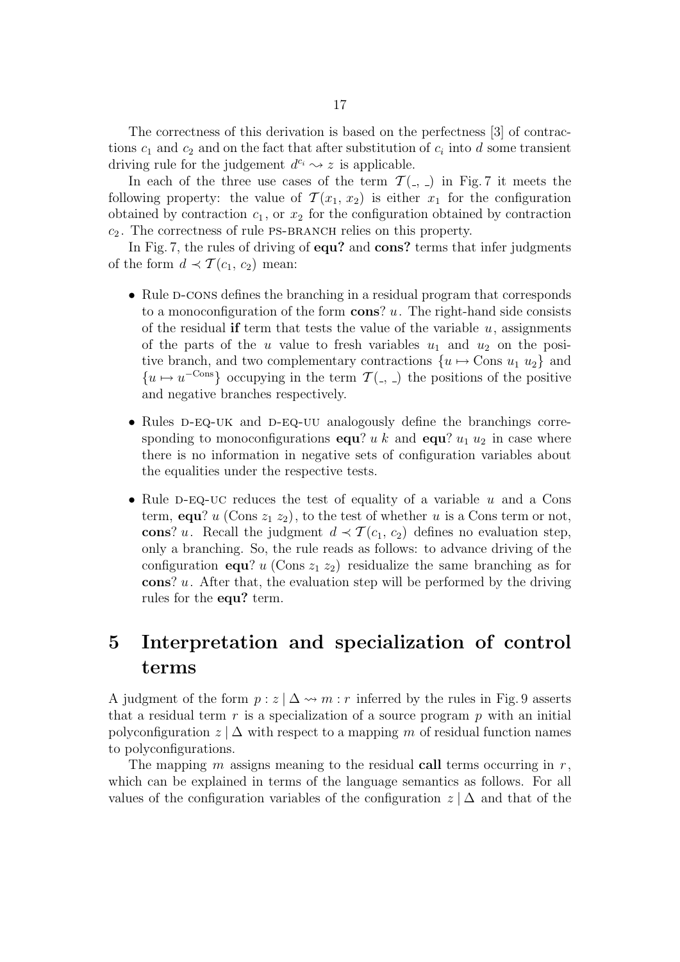The correctness of this derivation is based on the perfectness [3] of contractions  $c_1$  and  $c_2$  and on the fact that after substitution of  $c_i$  into d some transient driving rule for the judgement  $d^{c_i} \rightarrow z$  is applicable.

In each of the three use cases of the term  $\mathcal{T}(\cdot, \cdot)$  in Fig. 7 it meets the following property: the value of  $\mathcal{T}(x_1, x_2)$  is either  $x_1$  for the configuration obtained by contraction  $c_1$ , or  $x_2$  for the configuration obtained by contraction  $c_2$ . The correctness of rule PS-BRANCH relies on this property.

In Fig. 7, the rules of driving of equ? and cons? terms that infer judgments of the form  $d \prec \mathcal{T}(c_1, c_2)$  mean:

- Rule D-cons defines the branching in a residual program that corresponds to a monoconfiguration of the form  $\cos$ ? u. The right-hand side consists of the residual if term that tests the value of the variable  $u$ , assignments of the parts of the u value to fresh variables  $u_1$  and  $u_2$  on the positive branch, and two complementary contractions  $\{u \mapsto \text{Cons } u_1 u_2\}$  and  ${u \mapsto u^{-\text{Cons}}}$  occupying in the term  $\mathcal{T}(\cdot, \cdot)$  the positions of the positive and negative branches respectively.
- Rules D-EQ-UK and D-EQ-UU analogously define the branchings corresponding to monoconfigurations equ? u k and equ?  $u_1$   $u_2$  in case where there is no information in negative sets of configuration variables about the equalities under the respective tests.
- Rule D-EQ-UC reduces the test of equality of a variable u and a Cons term, equ? u (Cons  $z_1 z_2$ ), to the test of whether u is a Cons term or not, cons? u. Recall the judgment  $d \prec \mathcal{T}(c_1, c_2)$  defines no evaluation step, only a branching. So, the rule reads as follows: to advance driving of the configuration equ? u (Cons  $z_1 z_2$ ) residualize the same branching as for cons?  $u$ . After that, the evaluation step will be performed by the driving rules for the equ? term.

## 5 Interpretation and specialization of control terms

A judgment of the form  $p : z | \Delta \leadsto m : r$  inferred by the rules in Fig. 9 asserts that a residual term  $r$  is a specialization of a source program  $p$  with an initial polyconfiguration  $z \mid \Delta$  with respect to a mapping m of residual function names to polyconfigurations.

The mapping m assigns meaning to the residual call terms occurring in  $r$ , which can be explained in terms of the language semantics as follows. For all values of the configuration variables of the configuration  $z | \Delta$  and that of the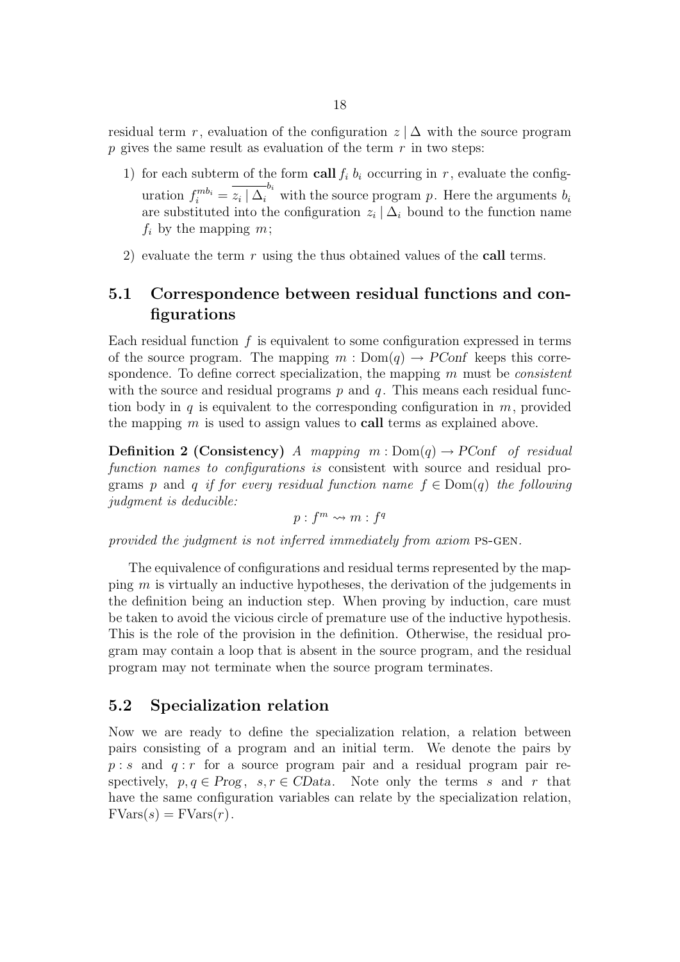residual term r, evaluation of the configuration  $z \mid \Delta$  with the source program p gives the same result as evaluation of the term  $r$  in two steps:

- 1) for each subterm of the form call  $f_i$   $b_i$  occurring in r, evaluate the configuration  $f_i^{mb_i} = \overline{z_i \mid \Delta_i}^{b_i}$  with the source program p. Here the arguments  $b_i$ are substituted into the configuration  $z_i | \Delta_i$  bound to the function name  $f_i$  by the mapping  $m$ ;
- 2) evaluate the term  $r$  using the thus obtained values of the call terms.

## 5.1 Correspondence between residual functions and configurations

Each residual function  $f$  is equivalent to some configuration expressed in terms of the source program. The mapping  $m : Dom(q) \to PConf$  keeps this correspondence. To define correct specialization, the mapping  $m$  must be *consistent* with the source and residual programs  $p$  and  $q$ . This means each residual function body in  $q$  is equivalent to the corresponding configuration in  $m$ , provided the mapping  $m$  is used to assign values to **call** terms as explained above.

**Definition 2 (Consistency)** A mapping  $m : Dom(q) \rightarrow PConf$  of residual function names to configurations is consistent with source and residual programs p and q if for every residual function name  $f \in Dom(q)$  the following judgment is deducible:

$$
p: f^m \leadsto m: f^q
$$

provided the judgment is not inferred immediately from axiom ps-gen.

The equivalence of configurations and residual terms represented by the mapping  $m$  is virtually an inductive hypotheses, the derivation of the judgements in the definition being an induction step. When proving by induction, care must be taken to avoid the vicious circle of premature use of the inductive hypothesis. This is the role of the provision in the definition. Otherwise, the residual program may contain a loop that is absent in the source program, and the residual program may not terminate when the source program terminates.

#### 5.2 Specialization relation

Now we are ready to define the specialization relation, a relation between pairs consisting of a program and an initial term. We denote the pairs by  $p : s$  and  $q : r$  for a source program pair and a residual program pair respectively,  $p, q \in Prog$ ,  $s, r \in CData$ . Note only the terms s and r that have the same configuration variables can relate by the specialization relation,  $FVars(s) = FVars(r)$ .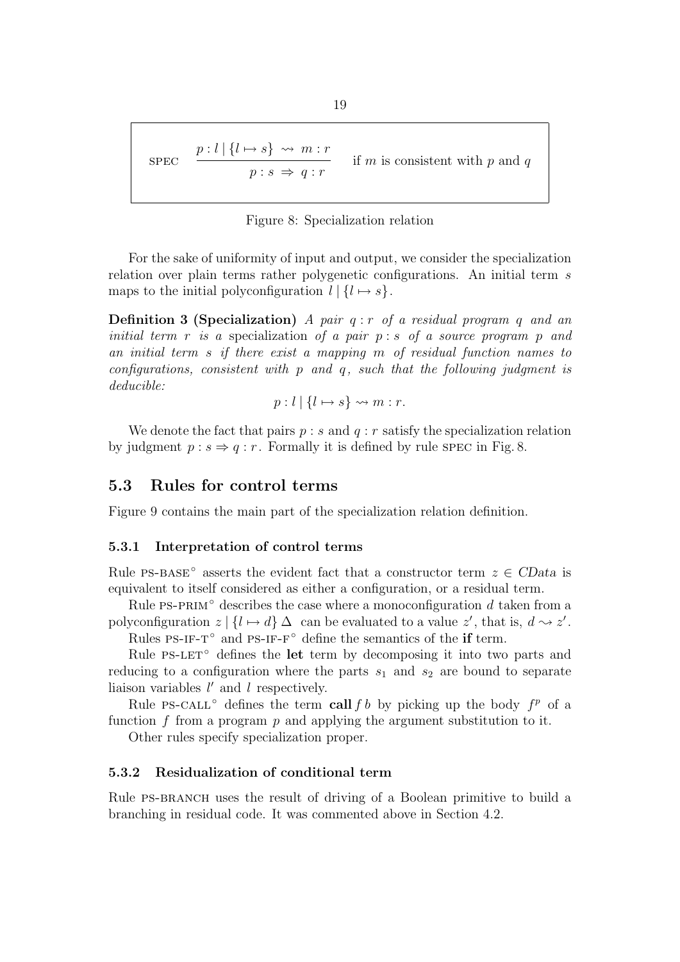$$
\text{SPEC} \quad \frac{p:l \mid \{l \mapsto s\} \rightsquigarrow m:r}{p:s \Rightarrow q:r} \quad \text{if } m \text{ is consistent with } p \text{ and } q
$$

Figure 8: Specialization relation

For the sake of uniformity of input and output, we consider the specialization relation over plain terms rather polygenetic configurations. An initial term s maps to the initial polyconfiguration  $l \mid \{l \mapsto s\}.$ 

**Definition 3 (Specialization)** A pair  $q : r$  of a residual program  $q$  and an initial term  $r$  is a specialization of a pair  $p : s$  of a source program  $p$  and an initial term s if there exist a mapping m of residual function names to configurations, consistent with  $p$  and  $q$ , such that the following judgment is deducible:

$$
p: l \mid \{l \mapsto s\} \rightsquigarrow m: r.
$$

We denote the fact that pairs  $p : s$  and  $q : r$  satisfy the specialization relation by judgment  $p : s \Rightarrow q : r$ . Formally it is defined by rule spec in Fig. 8.

#### 5.3 Rules for control terms

Figure 9 contains the main part of the specialization relation definition.

#### 5.3.1 Interpretation of control terms

Rule PS-BASE<sup></sup> asserts the evident fact that a constructor term  $z \in CData$  is equivalent to itself considered as either a configuration, or a residual term.

Rule PS-PRIM $\degree$  describes the case where a monoconfiguration d taken from a polyconfiguration  $z \mid \{l \mapsto d\} \Delta$  can be evaluated to a value  $z'$ , that is,  $d \sim z'$ .

Rules PS-IF-T<sup>°</sup> and PS-IF-F<sup>°</sup> define the semantics of the if term.

Rule PS-LET $\degree$  defines the let term by decomposing it into two parts and reducing to a configuration where the parts  $s_1$  and  $s_2$  are bound to separate liaison variables  $l'$  and  $l$  respectively.

Rule PS-CALL<sup>°</sup> defines the term call f b by picking up the body  $f<sup>p</sup>$  of a function f from a program p and applying the argument substitution to it.

Other rules specify specialization proper.

#### 5.3.2 Residualization of conditional term

Rule PS-BRANCH uses the result of driving of a Boolean primitive to build a branching in residual code. It was commented above in Section 4.2.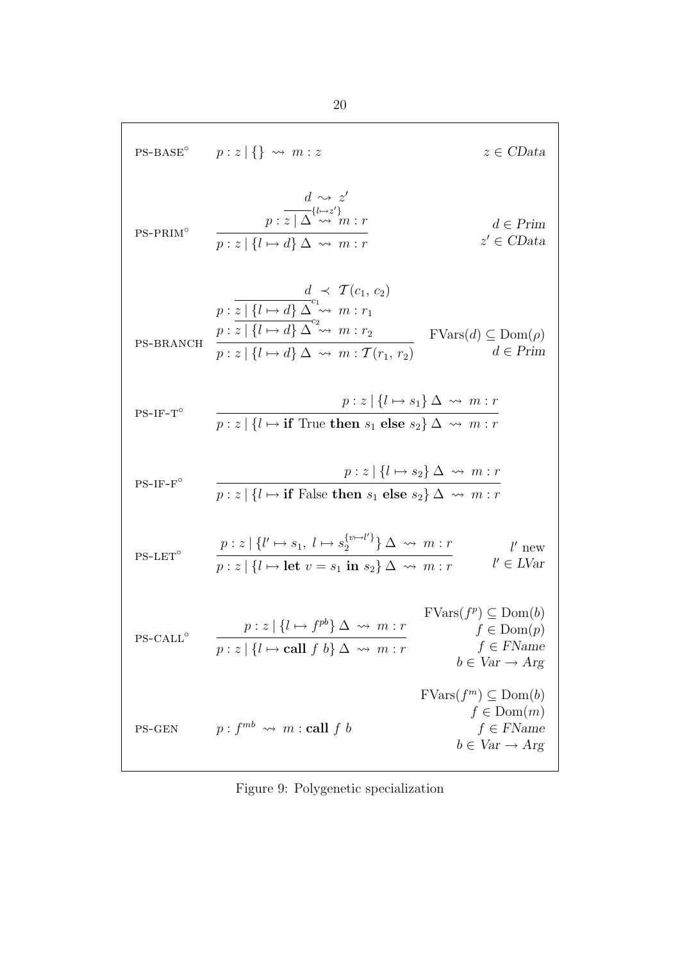$$
PS-BASE^{\circ} \t p : z | \{ \} \leadsto m : z \t z \in CData
$$
\n
$$
p : z | \{ \} \leadsto m : z \t z \in CData
$$
\n
$$
p : z | \{ \} \leadsto m : r \t d \in Prim
$$
\n
$$
p : z | \{ \} \leadsto d \sim m : r \t d \in Prim
$$
\n
$$
p : \frac{d}{z | \{ \} \leadsto d \} \Delta \leadsto m : r_1
$$
\n
$$
p : \frac{d}{z | \{ \} \leadsto d \} \Delta^{\circ} \leadsto m : r_1
$$
\n
$$
p : z | \{ \} \leadsto d \} \Delta^{\circ} \leadsto m : r_2
$$
\n
$$
p : z | \{ \} \leadsto d \} \Delta^{\circ} \leadsto m : r_1
$$
\n
$$
PS-BRANCH \t p : z | \{ \} \leadsto d \} \Delta \leadsto m : T(r_1, r_2) \t d \in Prim
$$
\n
$$
PS-IF-T^{\circ} \t p : z | \{ \} \leadsto i \t f \text{ True then } s_1 \text{ else } s_2 \} \Delta \leadsto m : r
$$
\n
$$
PS-IF-T^{\circ} \t p : z | \{ \} \leadsto i \t f \text{ True then } s_1 \text{ else } s_2 \} \Delta \leadsto m : r
$$
\n
$$
PS-IF-T^{\circ} \t p : z | \{ \} \leadsto i \t f \text{ False then } s_1 \text{ else } s_2 \} \Delta \leadsto m : r
$$
\n
$$
PS-LET^{\circ} \t p : z | \{ \} \leadsto i \t f \text{ False then } s_1 \text{ else } s_2 \} \Delta \leadsto m : r \t l' \text{ new}
$$
\n
$$
PS-LET^{\circ} \t p : z | \{ \} \leadsto i \t f \text{ false then } s_1 \text{ else } s_2 \} \Delta \leadsto m : r \t l' \text{ new}
$$
\n
$$
PS-LET^{\circ} \t p : z | \{ \} \leadsto i \t f \text{ false then } s_1 \text{ else } s_2 \} \Delta \leadsto m : r \t l' \text{ new}
$$
\n
$$
PS-LET^{\circ} \t p : z | \{ \} \leadsto j
$$

Figure 9: Polygenetic specialization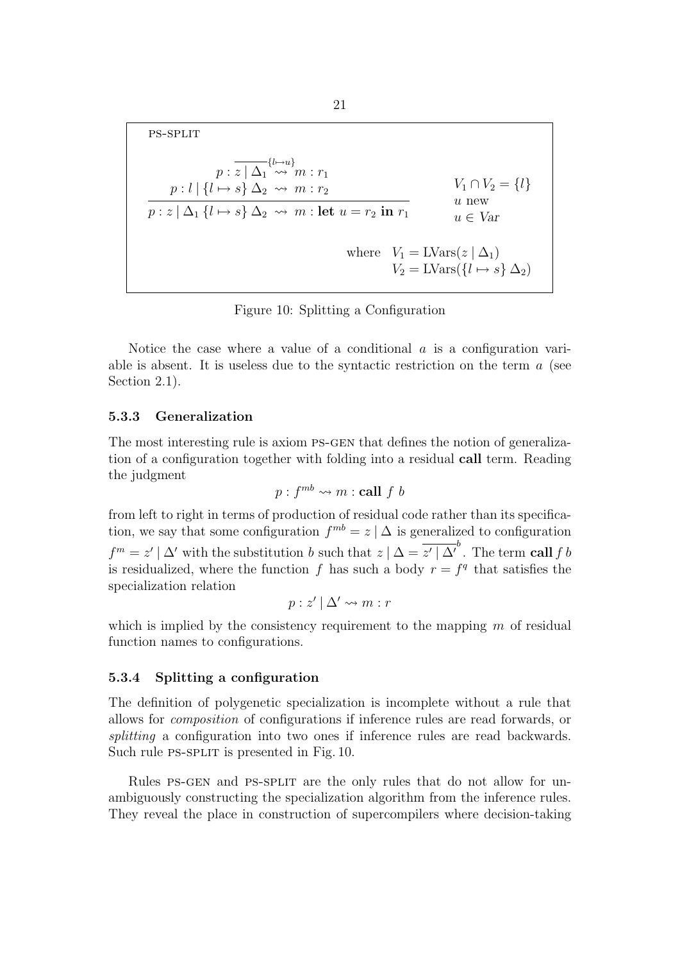ps-split

$$
p: \overline{z \mid \Delta_1^{l \mapsto u}} \qquad V_1 \cap V_2 = \{l\}
$$
\n
$$
p: \overline{z \mid \Delta_1 \leftrightarrow m : r_1} \qquad V_1 \cap V_2 = \{l\}
$$
\n
$$
p: \overline{z \mid \Delta_1 \{l \mapsto s\} \Delta_2 \leftrightarrow m : \text{let } u = r_2 \text{ in } r_1} \qquad u \text{ new}
$$
\n
$$
u \text{ new}
$$
\n
$$
u \in \text{Var}
$$
\n
$$
V_1 = \text{LVars}(z \mid \Delta_1)
$$
\n
$$
V_2 = \text{LVars}(\{l \mapsto s\} \Delta_2)
$$

Figure 10: Splitting a Configuration

Notice the case where a value of a conditional  $\alpha$  is a configuration variable is absent. It is useless due to the syntactic restriction on the term  $\alpha$  (see Section 2.1).

#### 5.3.3 Generalization

The most interesting rule is axiom PS-GEN that defines the notion of generalization of a configuration together with folding into a residual call term. Reading the judgment

$$
p: f^{mb} \leadsto m : \mathbf{call} \, f \, b
$$

from left to right in terms of production of residual code rather than its specification, we say that some configuration  $f^{mb} = z \mid \Delta$  is generalized to configuration  $f^{m} = z' | \Delta'$  with the substitution b such that  $z | \Delta = \overline{z' | \Delta'}$ . The term call f b is residualized, where the function f has such a body  $r = f<sup>q</sup>$  that satisfies the specialization relation

$$
p: z' | \Delta' \leadsto m : r
$$

which is implied by the consistency requirement to the mapping  $m$  of residual function names to configurations.

#### 5.3.4 Splitting a configuration

The definition of polygenetic specialization is incomplete without a rule that allows for composition of configurations if inference rules are read forwards, or splitting a configuration into two ones if inference rules are read backwards. Such rule PS-SPLIT is presented in Fig. 10.

Rules ps-gen and ps-split are the only rules that do not allow for unambiguously constructing the specialization algorithm from the inference rules. They reveal the place in construction of supercompilers where decision-taking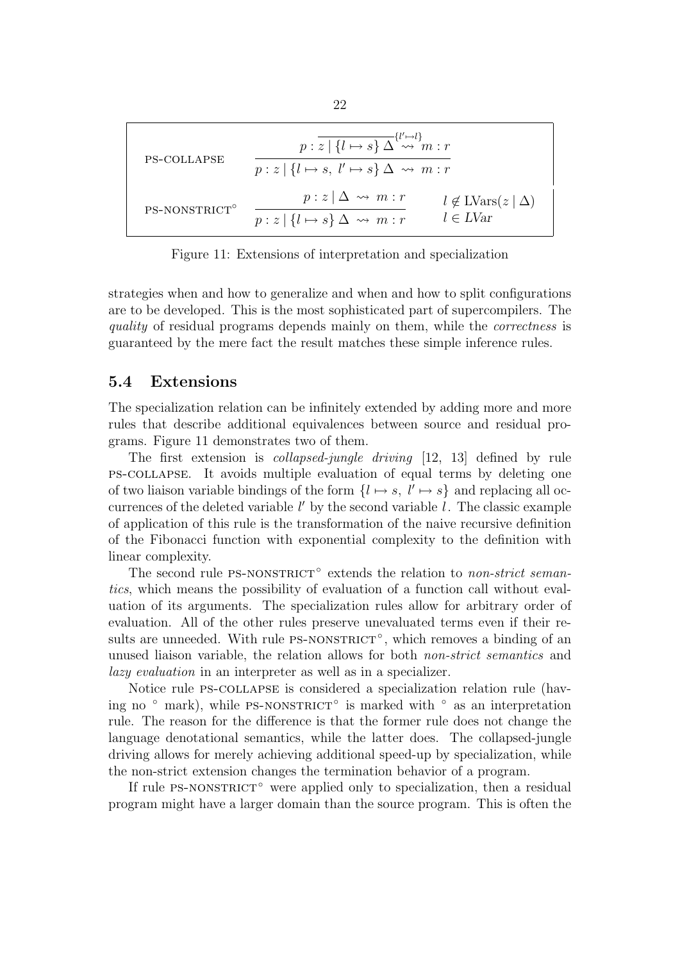$$
\text{PS-COLLAPSE} \qquad p: \overline{z} \mid \{l \mapsto s\} \Delta^{\{l' \mapsto l\}} m: r
$$
\n
$$
\overline{p:z} \mid \{l \mapsto s, l' \mapsto s\} \Delta \leadsto m: r
$$
\n
$$
\text{PS-NONSTRICT}^{\circ} \qquad p: z \mid \{l \mapsto s\} \Delta \leadsto m: r \qquad l \notin \text{LVars}(z \mid \Delta)
$$
\n
$$
\overline{p:z} \mid \{l \mapsto s\} \Delta \leadsto m: r \qquad l \in \text{LVar}
$$

Figure 11: Extensions of interpretation and specialization

strategies when and how to generalize and when and how to split configurations are to be developed. This is the most sophisticated part of supercompilers. The quality of residual programs depends mainly on them, while the correctness is guaranteed by the mere fact the result matches these simple inference rules.

#### 5.4 Extensions

The specialization relation can be infinitely extended by adding more and more rules that describe additional equivalences between source and residual programs. Figure 11 demonstrates two of them.

The first extension is collapsed-jungle driving [12, 13] defined by rule ps-collapse. It avoids multiple evaluation of equal terms by deleting one of two liaison variable bindings of the form  $\{l \mapsto s, l' \mapsto s\}$  and replacing all occurrences of the deleted variable  $l'$  by the second variable  $l$ . The classic example of application of this rule is the transformation of the naive recursive definition of the Fibonacci function with exponential complexity to the definition with linear complexity.

The second rule PS-NONSTRICT<sup>°</sup> extends the relation to *non-strict seman*tics, which means the possibility of evaluation of a function call without evaluation of its arguments. The specialization rules allow for arbitrary order of evaluation. All of the other rules preserve unevaluated terms even if their results are unneeded. With rule PS-NONSTRICT<sup>°</sup>, which removes a binding of an unused liaison variable, the relation allows for both non-strict semantics and lazy evaluation in an interpreter as well as in a specializer.

Notice rule ps-collapse is considered a specialization relation rule (having no ° mark), while PS-NONSTRICT<sup>°</sup> is marked with ° as an interpretation rule. The reason for the difference is that the former rule does not change the language denotational semantics, while the latter does. The collapsed-jungle driving allows for merely achieving additional speed-up by specialization, while the non-strict extension changes the termination behavior of a program.

If rule PS-NONSTRICT<sup></sup> were applied only to specialization, then a residual program might have a larger domain than the source program. This is often the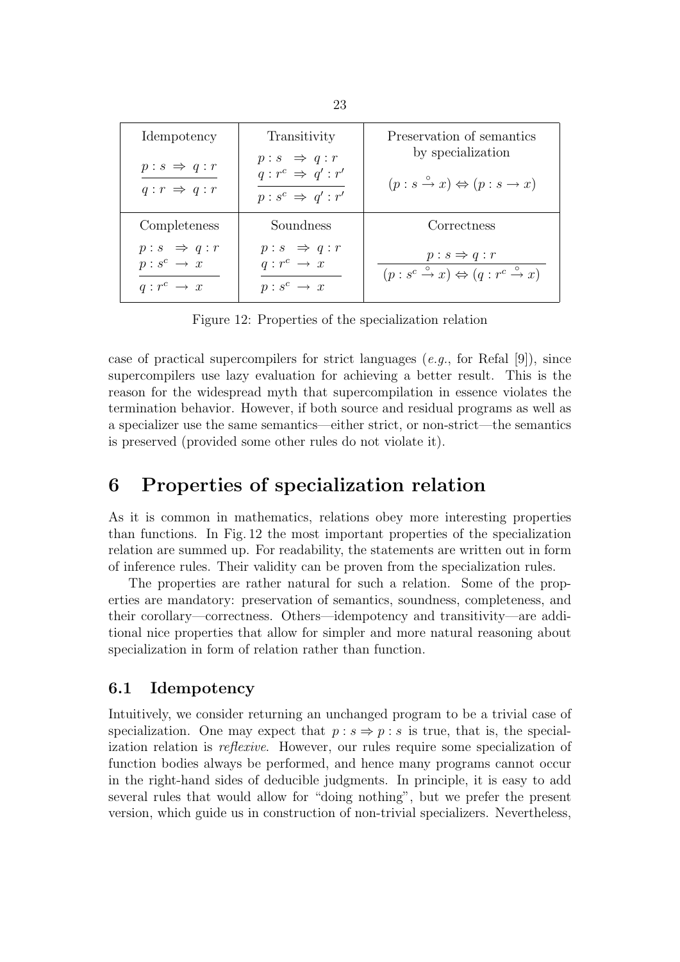| Idempotency                                                              | Transitivity                                                                          | Preservation of semantics                                                                                          |
|--------------------------------------------------------------------------|---------------------------------------------------------------------------------------|--------------------------------------------------------------------------------------------------------------------|
| $p:s \Rightarrow q:r$<br>$q: r \Rightarrow q: r$                         | $p:s \Rightarrow q:r$<br>$q: r^c \Rightarrow q': r'$<br>$p : s^c \Rightarrow q' : r'$ | by specialization<br>$(p:s \stackrel{\circ}{\to} x) \Leftrightarrow (p:s \to x)$                                   |
| Completeness                                                             | Soundness                                                                             | Correctness                                                                                                        |
| $p:s \Rightarrow q:r$<br>$p:s^c \rightarrow x$<br>$q: r^c \rightarrow x$ | $p:s \Rightarrow q:r$<br>$q: r^c \rightarrow x$<br>$p:s^c \rightarrow x$              | $p : s \Rightarrow q : r$<br>$(p : s^c \stackrel{\circ}{\to} x) \Leftrightarrow (q : r^c \stackrel{\circ}{\to} x)$ |

Figure 12: Properties of the specialization relation

case of practical supercompilers for strict languages (e.g., for Refal [9]), since supercompilers use lazy evaluation for achieving a better result. This is the reason for the widespread myth that supercompilation in essence violates the termination behavior. However, if both source and residual programs as well as a specializer use the same semantics—either strict, or non-strict—the semantics is preserved (provided some other rules do not violate it).

## 6 Properties of specialization relation

As it is common in mathematics, relations obey more interesting properties than functions. In Fig. 12 the most important properties of the specialization relation are summed up. For readability, the statements are written out in form of inference rules. Their validity can be proven from the specialization rules.

The properties are rather natural for such a relation. Some of the properties are mandatory: preservation of semantics, soundness, completeness, and their corollary—correctness. Others—idempotency and transitivity—are additional nice properties that allow for simpler and more natural reasoning about specialization in form of relation rather than function.

#### 6.1 Idempotency

Intuitively, we consider returning an unchanged program to be a trivial case of specialization. One may expect that  $p : s \Rightarrow p : s$  is true, that is, the specialization relation is reflexive. However, our rules require some specialization of function bodies always be performed, and hence many programs cannot occur in the right-hand sides of deducible judgments. In principle, it is easy to add several rules that would allow for "doing nothing", but we prefer the present version, which guide us in construction of non-trivial specializers. Nevertheless,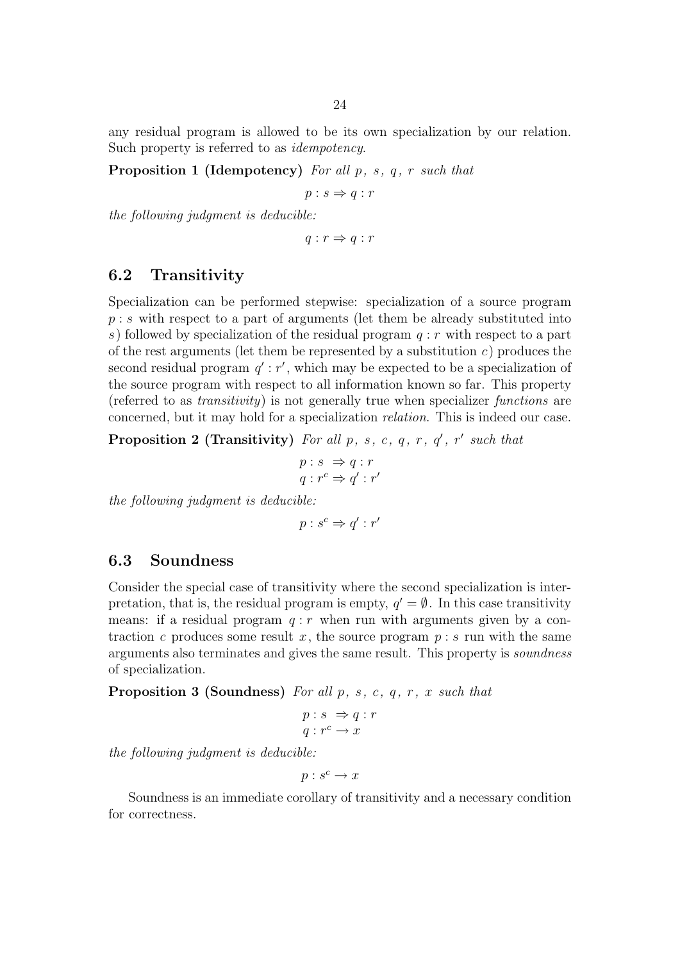any residual program is allowed to be its own specialization by our relation. Such property is referred to as *idempotency*.

#### **Proposition 1 (Idempotency)** For all  $p$ ,  $s$ ,  $q$ ,  $r$  such that

 $p : s \Rightarrow q : r$ 

the following judgment is deducible:

 $q: r \Rightarrow q: r$ 

#### 6.2 Transitivity

Specialization can be performed stepwise: specialization of a source program  $p : s$  with respect to a part of arguments (let them be already substituted into s) followed by specialization of the residual program  $q : r$  with respect to a part of the rest arguments (let them be represented by a substitution  $c$ ) produces the second residual program  $q'$ :  $r'$ , which may be expected to be a specialization of the source program with respect to all information known so far. This property (referred to as *transitivity*) is not generally true when specializer *functions* are concerned, but it may hold for a specialization relation. This is indeed our case.

**Proposition 2 (Transitivity)** For all p, s, c, q, r,  $q'$ , r' such that

$$
p:s \Rightarrow q:r q:r^c \Rightarrow q':r'
$$

the following judgment is deducible:

$$
p:s^c \Rightarrow q':r'
$$

#### 6.3 Soundness

Consider the special case of transitivity where the second specialization is interpretation, that is, the residual program is empty,  $q' = \emptyset$ . In this case transitivity means: if a residual program  $q : r$  when run with arguments given by a contraction c produces some result x, the source program  $p : s$  run with the same arguments also terminates and gives the same result. This property is *soundness* of specialization.

**Proposition 3 (Soundness)** For all  $p, s, c, q, r, x$  such that

$$
p: s \Rightarrow q: r
$$

$$
q: r^c \to x
$$

the following judgment is deducible:

$$
p:s^c\to x
$$

Soundness is an immediate corollary of transitivity and a necessary condition for correctness.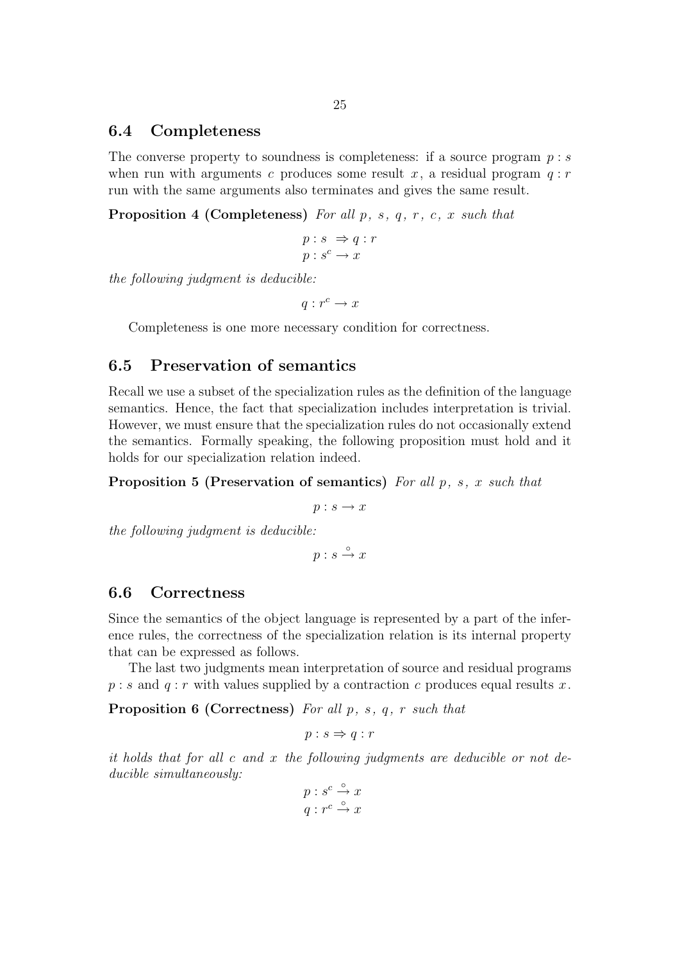#### 6.4 Completeness

The converse property to soundness is completeness: if a source program  $p : s$ when run with arguments c produces some result x, a residual program  $q : r$ run with the same arguments also terminates and gives the same result.

**Proposition 4 (Completeness)** For all  $p$ ,  $s$ ,  $q$ ,  $r$ ,  $c$ ,  $x$  such that

$$
p: s \Rightarrow q: r
$$

$$
p: s^c \to x
$$

the following judgment is deducible:

 $q: r^c \to x$ 

Completeness is one more necessary condition for correctness.

#### 6.5 Preservation of semantics

Recall we use a subset of the specialization rules as the definition of the language semantics. Hence, the fact that specialization includes interpretation is trivial. However, we must ensure that the specialization rules do not occasionally extend the semantics. Formally speaking, the following proposition must hold and it holds for our specialization relation indeed.

**Proposition 5 (Preservation of semantics)** For all  $p$ ,  $s$ ,  $x$  such that

 $p : s \rightarrow x$ 

the following judgment is deducible:

 $p : s \stackrel{\circ}{\rightarrow} x$ 

#### 6.6 Correctness

Since the semantics of the object language is represented by a part of the inference rules, the correctness of the specialization relation is its internal property that can be expressed as follows.

The last two judgments mean interpretation of source and residual programs  $p : s$  and  $q : r$  with values supplied by a contraction c produces equal results x.

**Proposition 6 (Correctness)** For all  $p$ ,  $s$ ,  $q$ ,  $r$  such that

$$
p:s\Rightarrow q:r
$$

it holds that for all c and x the following judgments are deducible or not deducible simultaneously:

$$
p : s^c \xrightarrow{\circ} x
$$

$$
q : r^c \xrightarrow{\circ} x
$$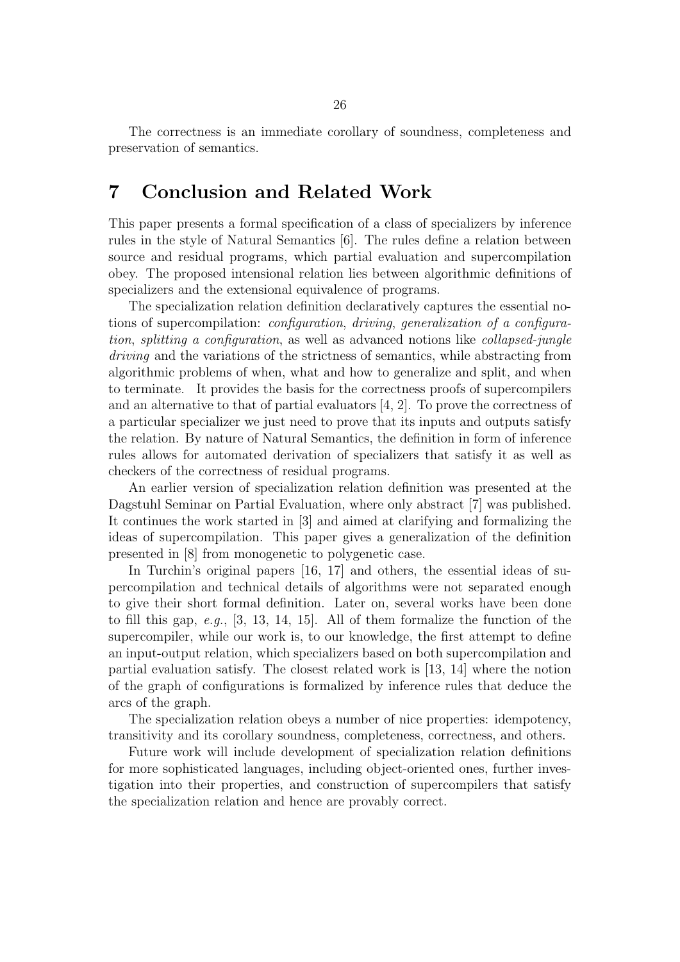The correctness is an immediate corollary of soundness, completeness and preservation of semantics.

## 7 Conclusion and Related Work

This paper presents a formal specification of a class of specializers by inference rules in the style of Natural Semantics [6]. The rules define a relation between source and residual programs, which partial evaluation and supercompilation obey. The proposed intensional relation lies between algorithmic definitions of specializers and the extensional equivalence of programs.

The specialization relation definition declaratively captures the essential notions of supercompilation: configuration, driving, generalization of a configuration, splitting a configuration, as well as advanced notions like collapsed-jungle driving and the variations of the strictness of semantics, while abstracting from algorithmic problems of when, what and how to generalize and split, and when to terminate. It provides the basis for the correctness proofs of supercompilers and an alternative to that of partial evaluators [4, 2]. To prove the correctness of a particular specializer we just need to prove that its inputs and outputs satisfy the relation. By nature of Natural Semantics, the definition in form of inference rules allows for automated derivation of specializers that satisfy it as well as checkers of the correctness of residual programs.

An earlier version of specialization relation definition was presented at the Dagstuhl Seminar on Partial Evaluation, where only abstract [7] was published. It continues the work started in [3] and aimed at clarifying and formalizing the ideas of supercompilation. This paper gives a generalization of the definition presented in [8] from monogenetic to polygenetic case.

In Turchin's original papers [16, 17] and others, the essential ideas of supercompilation and technical details of algorithms were not separated enough to give their short formal definition. Later on, several works have been done to fill this gap, e.g., [3, 13, 14, 15]. All of them formalize the function of the supercompiler, while our work is, to our knowledge, the first attempt to define an input-output relation, which specializers based on both supercompilation and partial evaluation satisfy. The closest related work is [13, 14] where the notion of the graph of configurations is formalized by inference rules that deduce the arcs of the graph.

The specialization relation obeys a number of nice properties: idempotency, transitivity and its corollary soundness, completeness, correctness, and others.

Future work will include development of specialization relation definitions for more sophisticated languages, including object-oriented ones, further investigation into their properties, and construction of supercompilers that satisfy the specialization relation and hence are provably correct.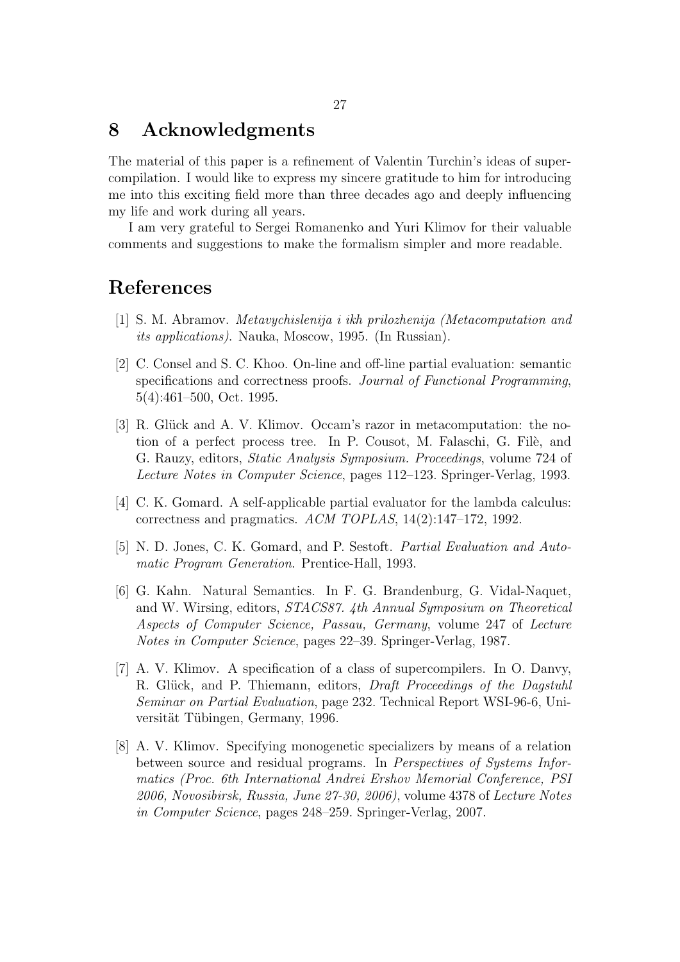### 8 Acknowledgments

The material of this paper is a refinement of Valentin Turchin's ideas of supercompilation. I would like to express my sincere gratitude to him for introducing me into this exciting field more than three decades ago and deeply influencing my life and work during all years.

I am very grateful to Sergei Romanenko and Yuri Klimov for their valuable comments and suggestions to make the formalism simpler and more readable.

## References

- [1] S. M. Abramov. Metavychislenija i ikh prilozhenija (Metacomputation and its applications). Nauka, Moscow, 1995. (In Russian).
- [2] C. Consel and S. C. Khoo. On-line and off-line partial evaluation: semantic specifications and correctness proofs. Journal of Functional Programming, 5(4):461–500, Oct. 1995.
- [3] R. Glück and A. V. Klimov. Occam's razor in metacomputation: the notion of a perfect process tree. In P. Cousot, M. Falaschi, G. File, and G. Rauzy, editors, Static Analysis Symposium. Proceedings, volume 724 of Lecture Notes in Computer Science, pages 112–123. Springer-Verlag, 1993.
- [4] C. K. Gomard. A self-applicable partial evaluator for the lambda calculus: correctness and pragmatics. ACM TOPLAS, 14(2):147–172, 1992.
- [5] N. D. Jones, C. K. Gomard, and P. Sestoft. Partial Evaluation and Automatic Program Generation. Prentice-Hall, 1993.
- [6] G. Kahn. Natural Semantics. In F. G. Brandenburg, G. Vidal-Naquet, and W. Wirsing, editors, STACS87. 4th Annual Symposium on Theoretical Aspects of Computer Science, Passau, Germany, volume 247 of Lecture Notes in Computer Science, pages 22–39. Springer-Verlag, 1987.
- [7] A. V. Klimov. A specification of a class of supercompilers. In O. Danvy, R. Glück, and P. Thiemann, editors, *Draft Proceedings of the Dagstuhl* Seminar on Partial Evaluation, page 232. Technical Report WSI-96-6, Universität Tübingen, Germany, 1996.
- [8] A. V. Klimov. Specifying monogenetic specializers by means of a relation between source and residual programs. In *Perspectives of Systems Infor*matics (Proc. 6th International Andrei Ershov Memorial Conference, PSI 2006, Novosibirsk, Russia, June 27-30, 2006), volume 4378 of Lecture Notes in Computer Science, pages 248–259. Springer-Verlag, 2007.